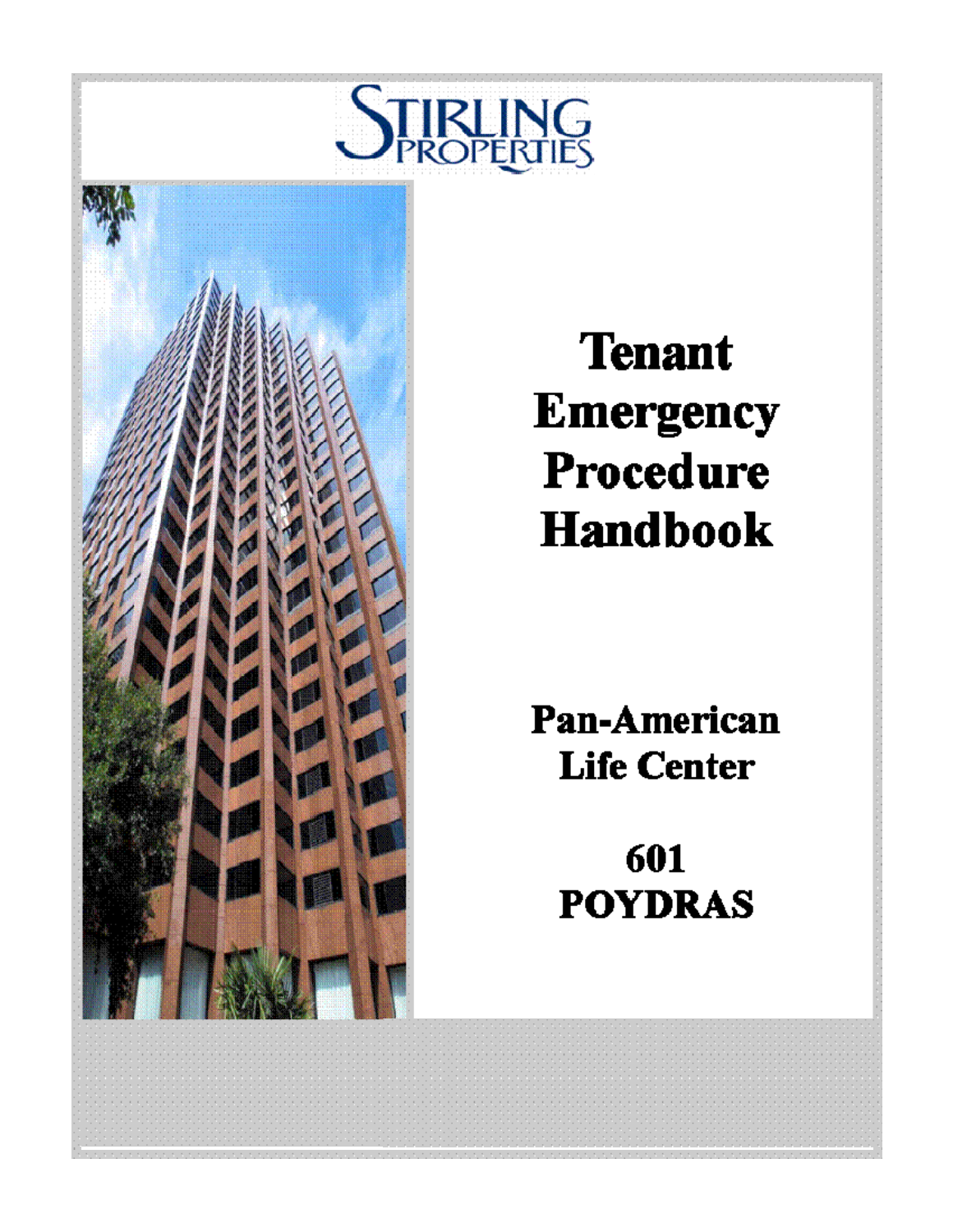



# **Tenant Emergency** Procedure **Handbook**

**Pan-American Life Center** 

> 601 **POYDRAS**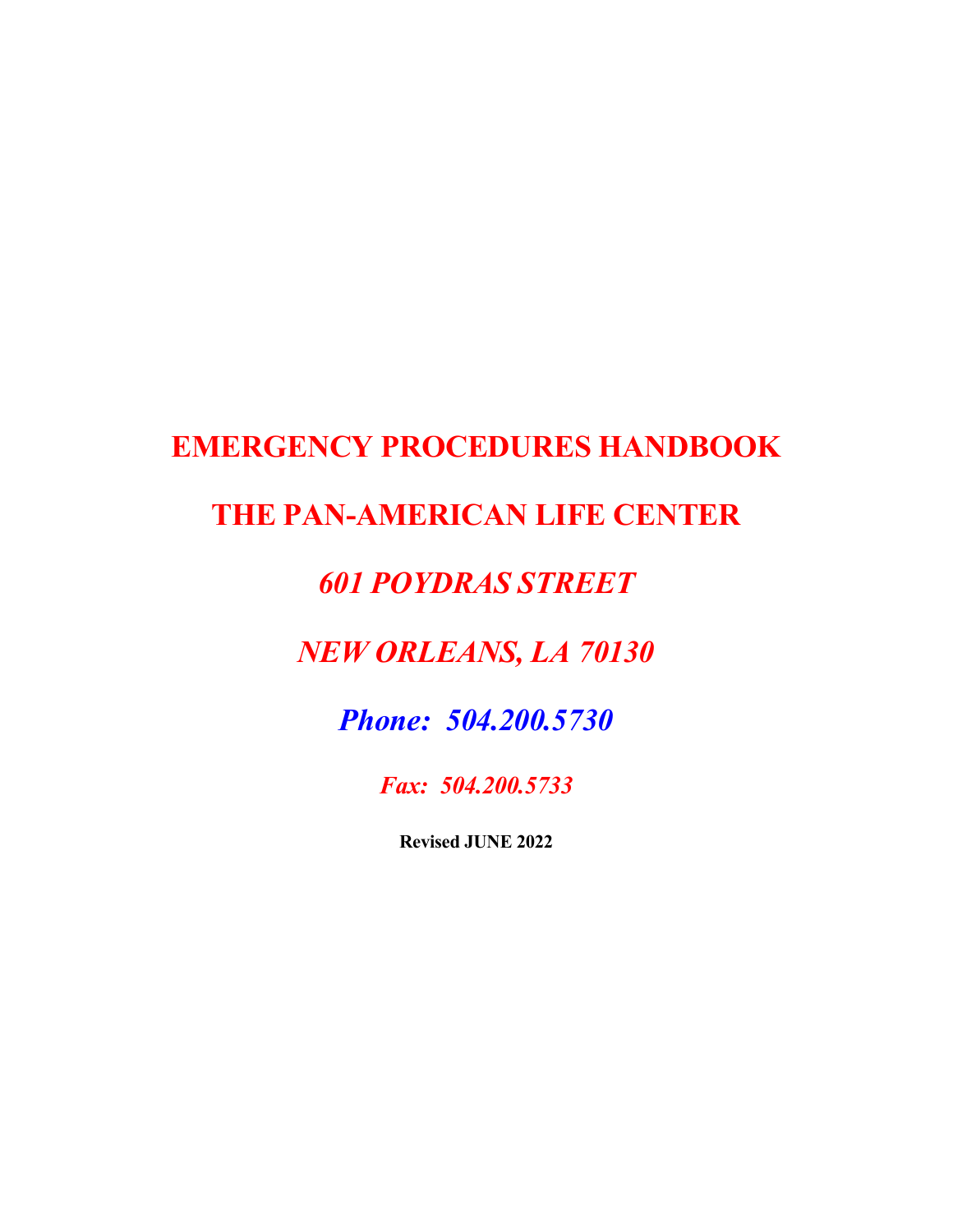# **EMERGENCY PROCEDURES HANDBOOK**

# **THE PAN-AMERICAN LIFE CENTER**

# *601 POYDRAS STREET*

# *NEW ORLEANS, LA 70130*

# *Phone: 504.200.5730*

*Fax: 504.200.5733* 

**Revised JUNE 2022**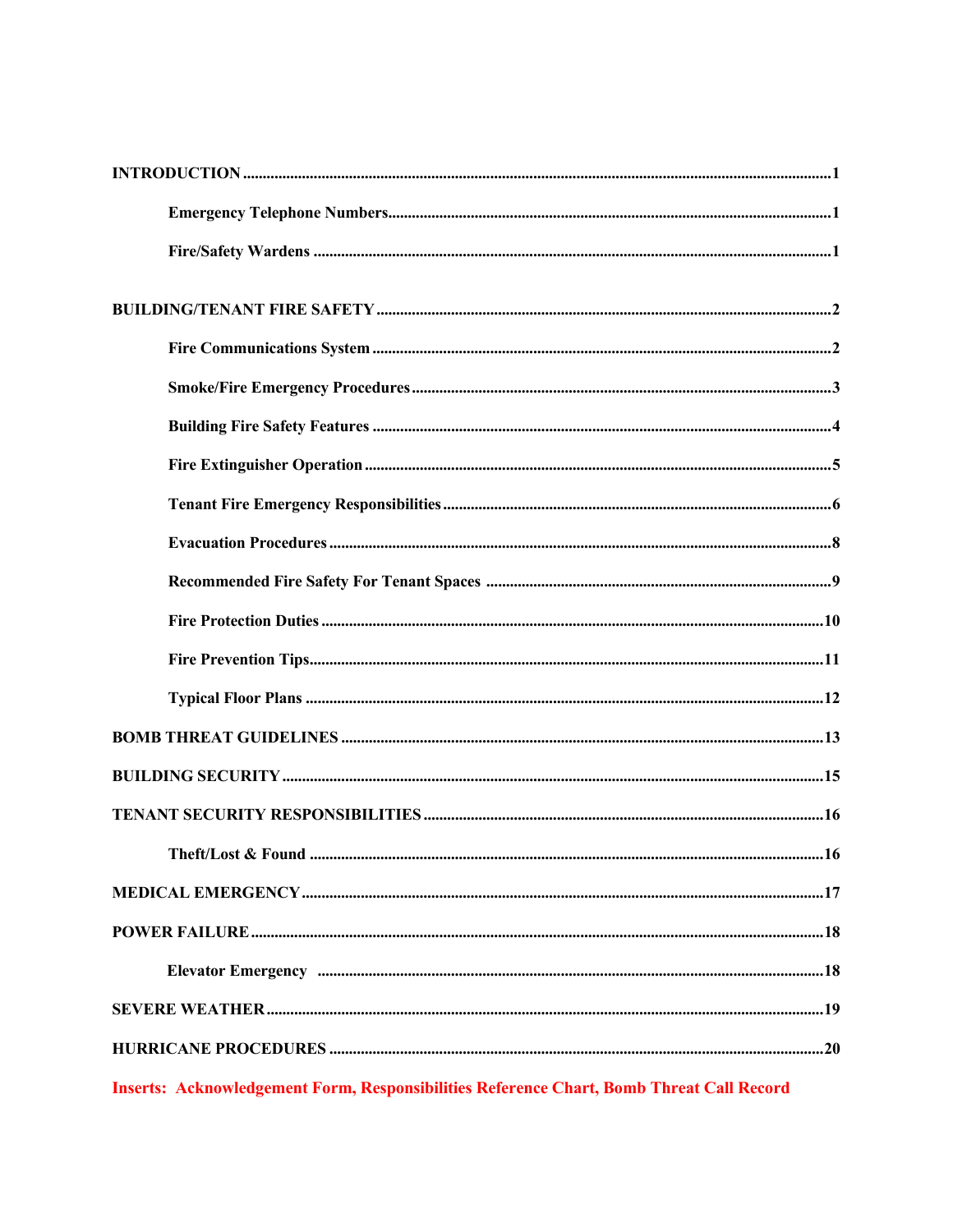Inserts: Acknowledgement Form, Responsibilities Reference Chart, Bomb Threat Call Record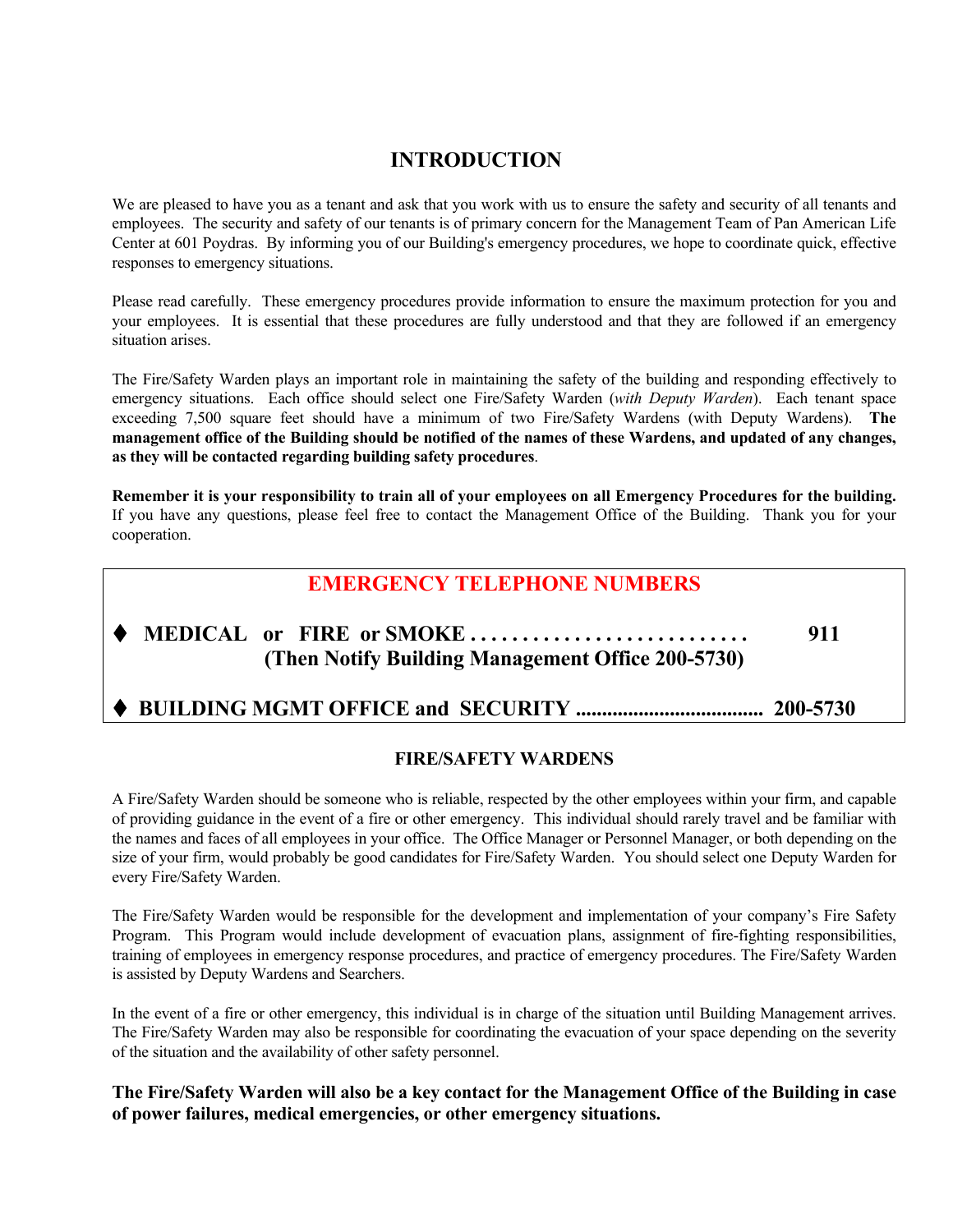# **INTRODUCTION**

We are pleased to have you as a tenant and ask that you work with us to ensure the safety and security of all tenants and employees. The security and safety of our tenants is of primary concern for the Management Team of Pan American Life Center at 601 Poydras. By informing you of our Building's emergency procedures, we hope to coordinate quick, effective responses to emergency situations.

Please read carefully. These emergency procedures provide information to ensure the maximum protection for you and your employees. It is essential that these procedures are fully understood and that they are followed if an emergency situation arises.

The Fire/Safety Warden plays an important role in maintaining the safety of the building and responding effectively to emergency situations. Each office should select one Fire/Safety Warden (*with Deputy Warden*). Each tenant space exceeding 7,500 square feet should have a minimum of two Fire/Safety Wardens (with Deputy Wardens). **The management office of the Building should be notified of the names of these Wardens, and updated of any changes, as they will be contacted regarding building safety procedures**.

**Remember it is your responsibility to train all of your employees on all Emergency Procedures for the building.**  If you have any questions, please feel free to contact the Management Office of the Building. Thank you for your cooperation.

# **EMERGENCY TELEPHONE NUMBERS**

# **MEDICAL or FIRE or SMOKE . . . . . . . . . . . . . . . . . . . . . . . . . . . 911 (Then Notify Building Management Office 200-5730)**

### **BUILDING MGMT OFFICE and SECURITY .................................... 200-5730**

#### **FIRE/SAFETY WARDENS**

A Fire/Safety Warden should be someone who is reliable, respected by the other employees within your firm, and capable of providing guidance in the event of a fire or other emergency. This individual should rarely travel and be familiar with the names and faces of all employees in your office. The Office Manager or Personnel Manager, or both depending on the size of your firm, would probably be good candidates for Fire/Safety Warden. You should select one Deputy Warden for every Fire/Safety Warden.

The Fire/Safety Warden would be responsible for the development and implementation of your company's Fire Safety Program. This Program would include development of evacuation plans, assignment of fire-fighting responsibilities, training of employees in emergency response procedures, and practice of emergency procedures. The Fire/Safety Warden is assisted by Deputy Wardens and Searchers.

In the event of a fire or other emergency, this individual is in charge of the situation until Building Management arrives. The Fire/Safety Warden may also be responsible for coordinating the evacuation of your space depending on the severity of the situation and the availability of other safety personnel.

#### **The Fire/Safety Warden will also be a key contact for the Management Office of the Building in case of power failures, medical emergencies, or other emergency situations.**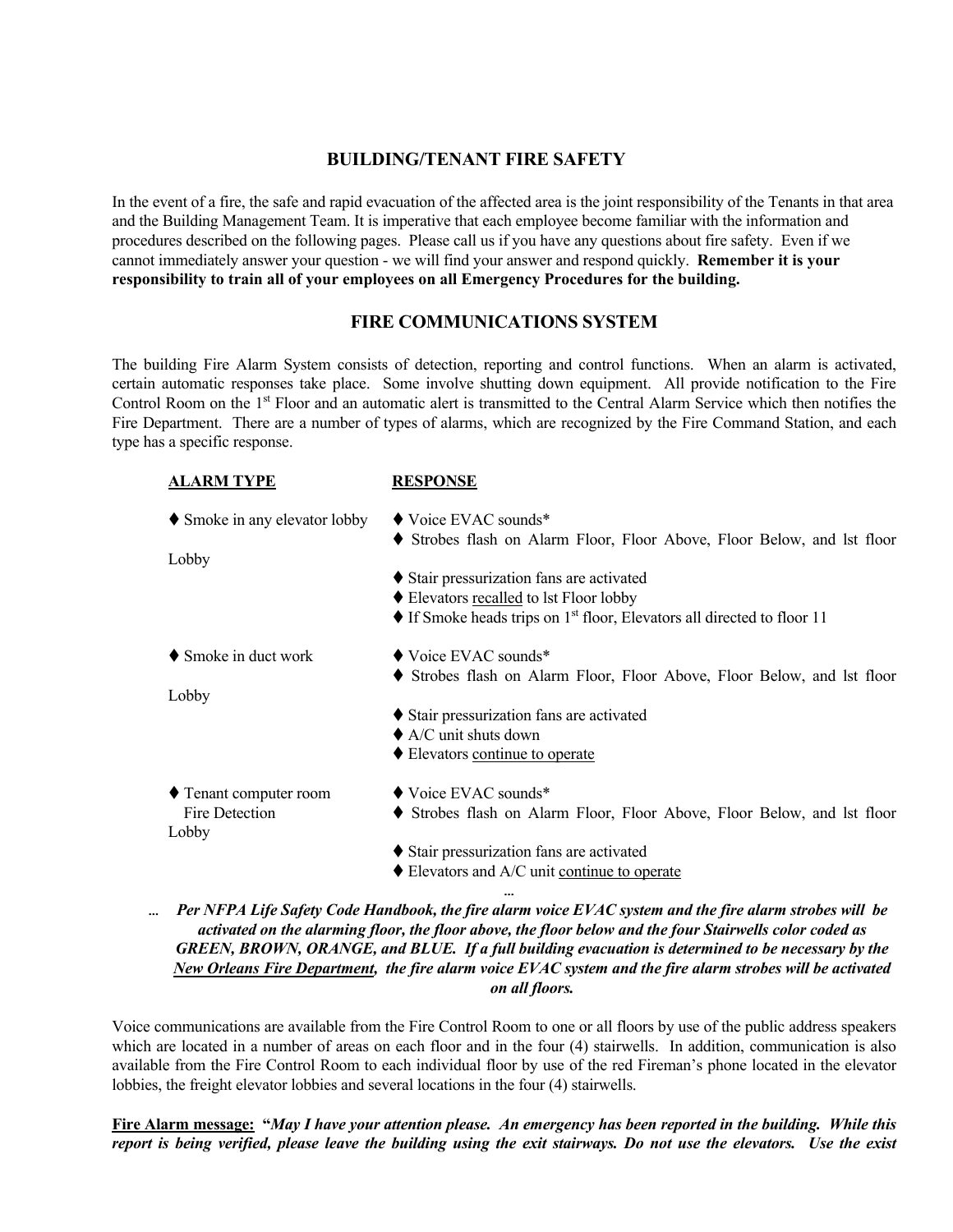#### **BUILDING/TENANT FIRE SAFETY**

In the event of a fire, the safe and rapid evacuation of the affected area is the joint responsibility of the Tenants in that area and the Building Management Team. It is imperative that each employee become familiar with the information and procedures described on the following pages. Please call us if you have any questions about fire safety. Even if we cannot immediately answer your question - we will find your answer and respond quickly. **Remember it is your responsibility to train all of your employees on all Emergency Procedures for the building.**

#### **FIRE COMMUNICATIONS SYSTEM**

The building Fire Alarm System consists of detection, reporting and control functions. When an alarm is activated, certain automatic responses take place. Some involve shutting down equipment. All provide notification to the Fire Control Room on the 1<sup>st</sup> Floor and an automatic alert is transmitted to the Central Alarm Service which then notifies the Fire Department. There are a number of types of alarms, which are recognized by the Fire Command Station, and each type has a specific response.

| <b>ALARM TYPE</b>             | <b>RESPONSE</b>                                                                                               |
|-------------------------------|---------------------------------------------------------------------------------------------------------------|
| ♦ Smoke in any elevator lobby | $\blacklozenge$ Voice EVAC sounds*<br>• Strobes flash on Alarm Floor, Floor Above, Floor Below, and lst floor |
| Lobby                         |                                                                                                               |
|                               | Stair pressurization fans are activated                                                                       |
|                               | ♦ Elevators recalled to lst Floor lobby                                                                       |
|                               | $\blacklozenge$ If Smoke heads trips on 1 <sup>st</sup> floor, Elevators all directed to floor 11             |
| $\bullet$ Smoke in duct work  | $\blacklozenge$ Voice EVAC sounds*                                                                            |
|                               | • Strobes flash on Alarm Floor, Floor Above, Floor Below, and lst floor                                       |
| Lobby                         |                                                                                                               |
|                               | Stair pressurization fans are activated                                                                       |
|                               | $\triangle$ A/C unit shuts down                                                                               |
|                               | ♦ Elevators continue to operate                                                                               |
| ♦ Tenant computer room        | $\blacklozenge$ Voice EVAC sounds*                                                                            |
| Fire Detection                | • Strobes flash on Alarm Floor, Floor Above, Floor Below, and lst floor                                       |
| Lobby                         |                                                                                                               |
|                               | ♦ Stair pressurization fans are activated                                                                     |
|                               | $\blacklozenge$ Elevators and A/C unit continue to operate                                                    |
|                               | $\cdots$                                                                                                      |

• *Per NFPA Life Safety Code Handbook, the fire alarm voice EVAC system and the fire alarm strobes will be activated on the alarming floor, the floor above, the floor below and the four Stairwells color coded as GREEN, BROWN, ORANGE, and BLUE. If a full building evacuation is determined to be necessary by the New Orleans Fire Department, the fire alarm voice EVAC system and the fire alarm strobes will be activated on all floors.* 

Voice communications are available from the Fire Control Room to one or all floors by use of the public address speakers which are located in a number of areas on each floor and in the four (4) stairwells. In addition, communication is also available from the Fire Control Room to each individual floor by use of the red Fireman's phone located in the elevator lobbies, the freight elevator lobbies and several locations in the four (4) stairwells.

**Fire Alarm message: "***May I have your attention please. An emergency has been reported in the building. While this report is being verified, please leave the building using the exit stairways. Do not use the elevators. Use the exist*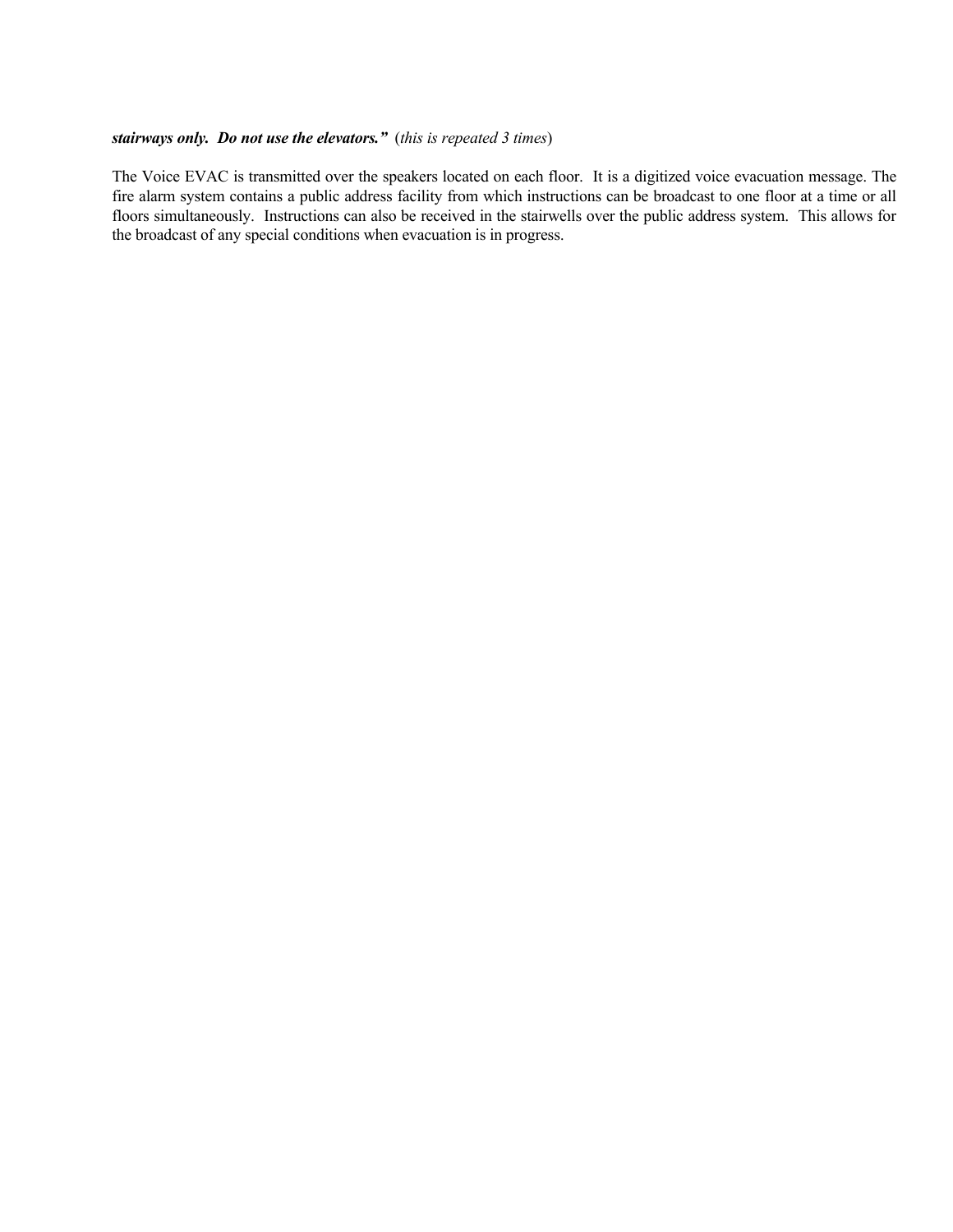#### *stairways only. Do not use the elevators."* (*this is repeated 3 times*)

The Voice EVAC is transmitted over the speakers located on each floor. It is a digitized voice evacuation message. The fire alarm system contains a public address facility from which instructions can be broadcast to one floor at a time or all floors simultaneously. Instructions can also be received in the stairwells over the public address system. This allows for the broadcast of any special conditions when evacuation is in progress.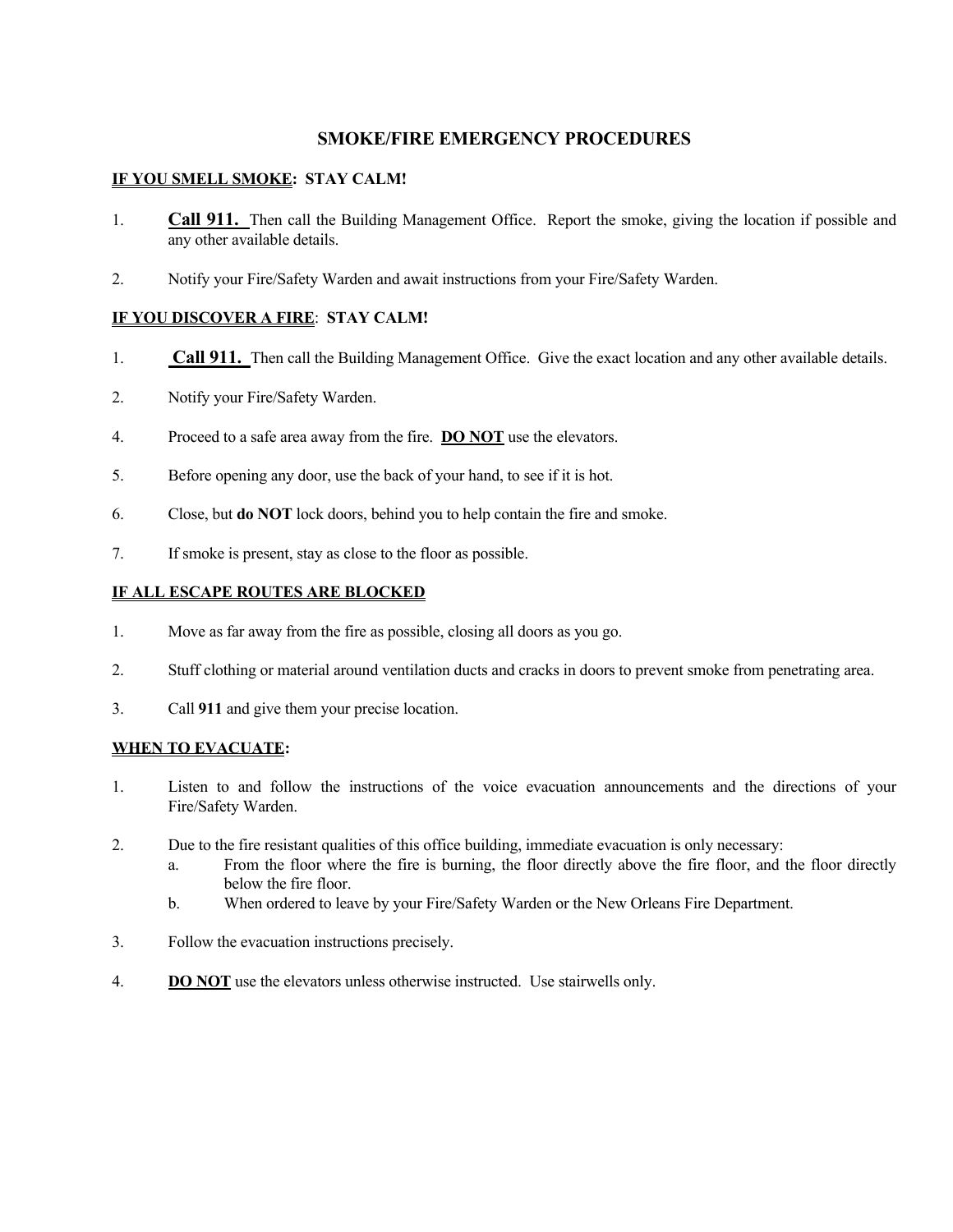#### **SMOKE/FIRE EMERGENCY PROCEDURES**

#### **IF YOU SMELL SMOKE: STAY CALM!**

- 1. **Call 911.** Then call the Building Management Office. Report the smoke, giving the location if possible and any other available details.
- 2. Notify your Fire/Safety Warden and await instructions from your Fire/Safety Warden.

#### **IF YOU DISCOVER A FIRE**: **STAY CALM!**

- 1. **Call 911.** Then call the Building Management Office. Give the exact location and any other available details.
- 2. Notify your Fire/Safety Warden.
- 4. Proceed to a safe area away from the fire. **DO NOT** use the elevators.
- 5. Before opening any door, use the back of your hand, to see if it is hot.
- 6. Close, but **do NOT** lock doors, behind you to help contain the fire and smoke.
- 7. If smoke is present, stay as close to the floor as possible.

#### **IF ALL ESCAPE ROUTES ARE BLOCKED**

- 1. Move as far away from the fire as possible, closing all doors as you go.
- 2. Stuff clothing or material around ventilation ducts and cracks in doors to prevent smoke from penetrating area.
- 3. Call **911** and give them your precise location.

#### **WHEN TO EVACUATE:**

- 1. Listen to and follow the instructions of the voice evacuation announcements and the directions of your Fire/Safety Warden.
- 2. Due to the fire resistant qualities of this office building, immediate evacuation is only necessary:
	- a. From the floor where the fire is burning, the floor directly above the fire floor, and the floor directly below the fire floor.
	- b. When ordered to leave by your Fire/Safety Warden or the New Orleans Fire Department.
- 3. Follow the evacuation instructions precisely.
- 4. **DO NOT** use the elevators unless otherwise instructed. Use stairwells only.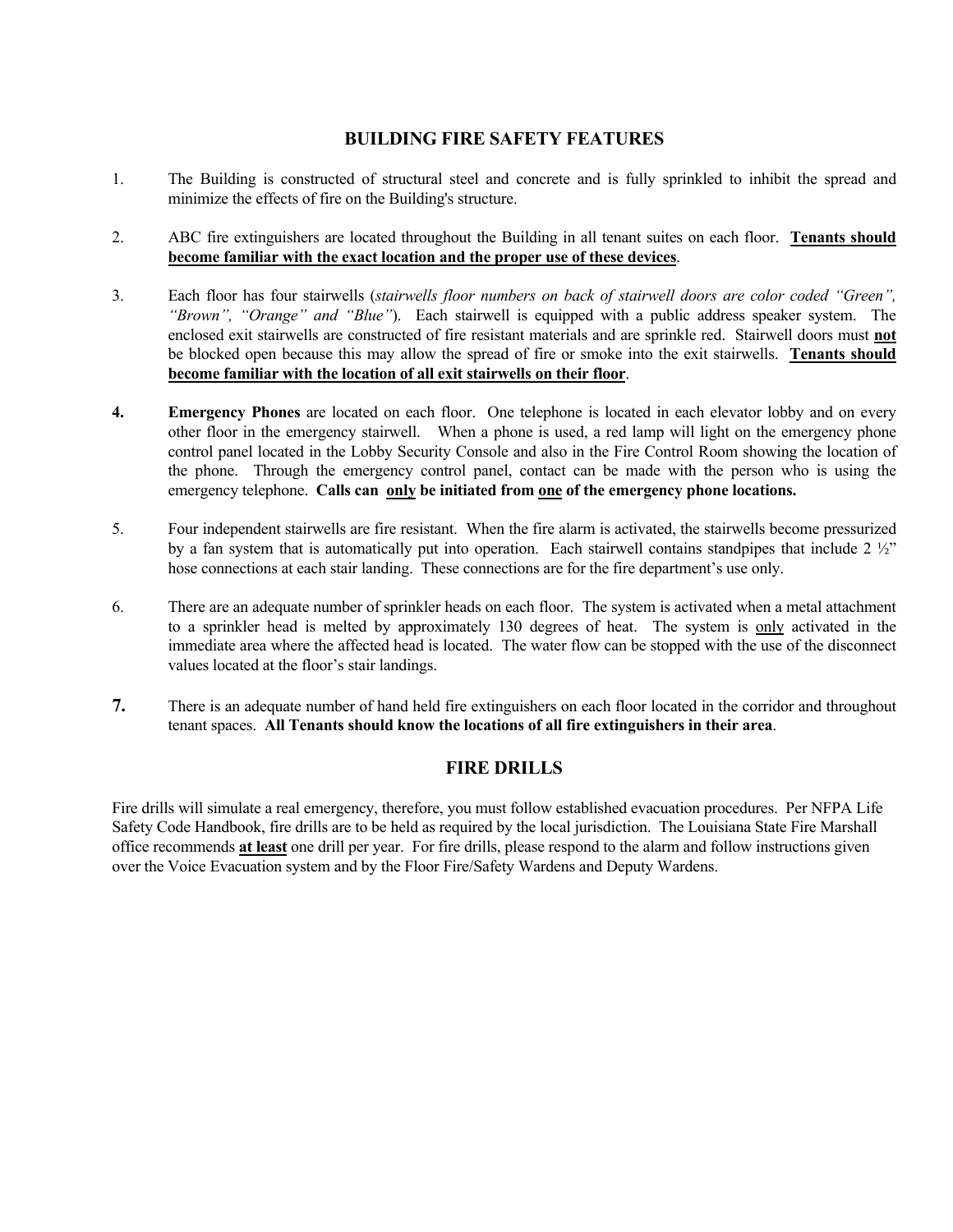#### **BUILDING FIRE SAFETY FEATURES**

- 1. The Building is constructed of structural steel and concrete and is fully sprinkled to inhibit the spread and minimize the effects of fire on the Building's structure.
- 2. ABC fire extinguishers are located throughout the Building in all tenant suites on each floor. **Tenants should become familiar with the exact location and the proper use of these devices**.
- 3. Each floor has four stairwells (*stairwells floor numbers on back of stairwell doors are color coded "Green", "Brown", "Orange" and "Blue"*). Each stairwell is equipped with a public address speaker system. The enclosed exit stairwells are constructed of fire resistant materials and are sprinkle red. Stairwell doors must **not** be blocked open because this may allow the spread of fire or smoke into the exit stairwells. **Tenants should become familiar with the location of all exit stairwells on their floor**.
- **4. Emergency Phones** are located on each floor. One telephone is located in each elevator lobby and on every other floor in the emergency stairwell. When a phone is used, a red lamp will light on the emergency phone control panel located in the Lobby Security Console and also in the Fire Control Room showing the location of the phone. Through the emergency control panel, contact can be made with the person who is using the emergency telephone. **Calls can only be initiated from one of the emergency phone locations.**
- 5. Four independent stairwells are fire resistant. When the fire alarm is activated, the stairwells become pressurized by a fan system that is automatically put into operation. Each stairwell contains standpipes that include 2 ½" hose connections at each stair landing. These connections are for the fire department's use only.
- 6. There are an adequate number of sprinkler heads on each floor. The system is activated when a metal attachment to a sprinkler head is melted by approximately 130 degrees of heat. The system is only activated in the immediate area where the affected head is located. The water flow can be stopped with the use of the disconnect values located at the floor's stair landings.
- **7.** There is an adequate number of hand held fire extinguishers on each floor located in the corridor and throughout tenant spaces. **All Tenants should know the locations of all fire extinguishers in their area**.

#### **FIRE DRILLS**

Fire drills will simulate a real emergency, therefore, you must follow established evacuation procedures. Per NFPA Life Safety Code Handbook, fire drills are to be held as required by the local jurisdiction. The Louisiana State Fire Marshall office recommends **at least** one drill per year. For fire drills, please respond to the alarm and follow instructions given over the Voice Evacuation system and by the Floor Fire/Safety Wardens and Deputy Wardens.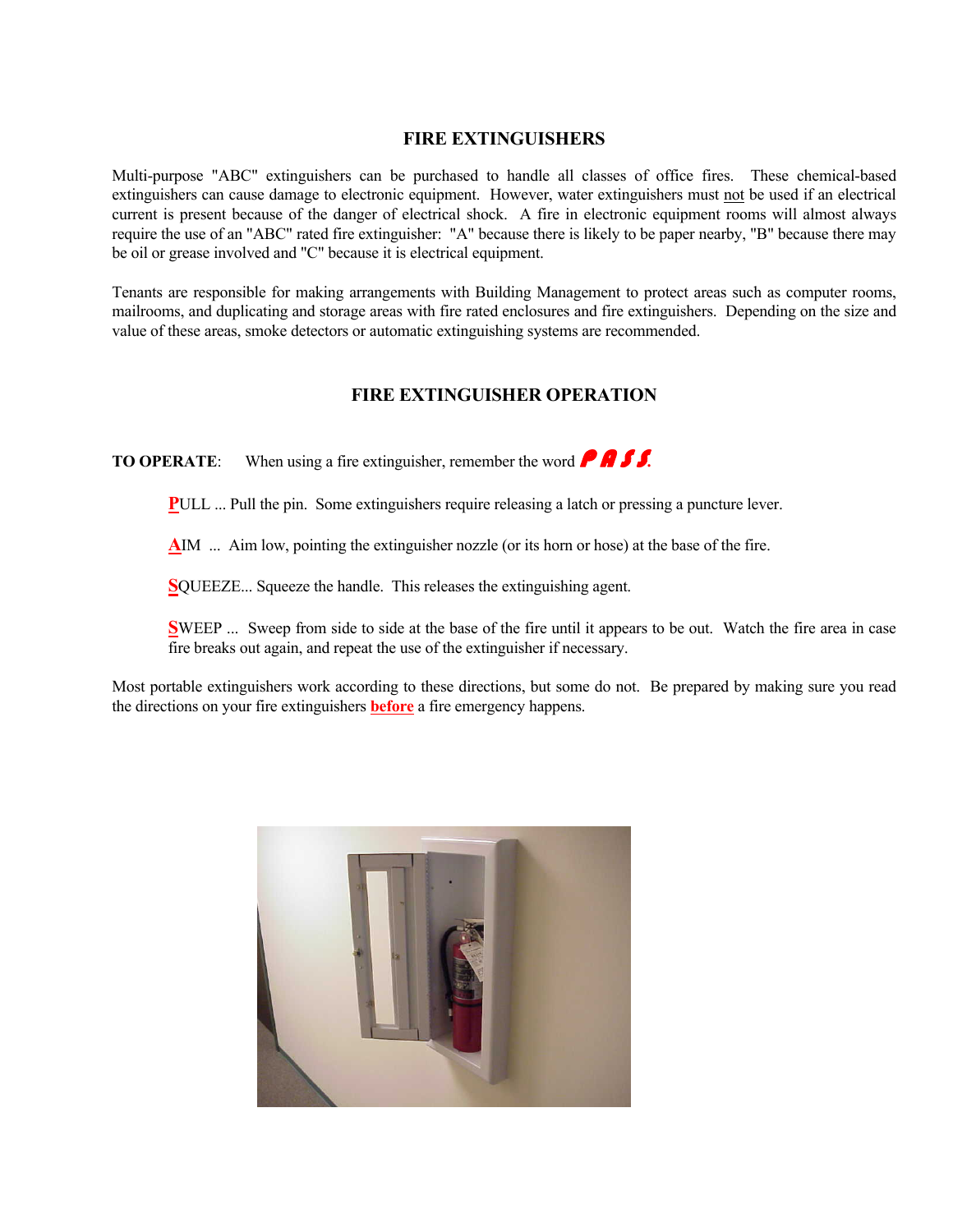#### **FIRE EXTINGUISHERS**

Multi-purpose "ABC" extinguishers can be purchased to handle all classes of office fires. These chemical-based extinguishers can cause damage to electronic equipment. However, water extinguishers must not be used if an electrical current is present because of the danger of electrical shock. A fire in electronic equipment rooms will almost always require the use of an "ABC" rated fire extinguisher: "A" because there is likely to be paper nearby, "B" because there may be oil or grease involved and "C" because it is electrical equipment.

Tenants are responsible for making arrangements with Building Management to protect areas such as computer rooms, mailrooms, and duplicating and storage areas with fire rated enclosures and fire extinguishers. Depending on the size and value of these areas, smoke detectors or automatic extinguishing systems are recommended.

#### **FIRE EXTINGUISHER OPERATION**

**TO OPERATE:** When using a fire extinguisher, remember the word **P A S** 

**PULL** ... Pull the pin. Some extinguishers require releasing a latch or pressing a puncture lever.

**A**IM ... Aim low, pointing the extinguisher nozzle (or its horn or hose) at the base of the fire.

**S**QUEEZE... Squeeze the handle. This releases the extinguishing agent.

**SWEEP** ... Sweep from side to side at the base of the fire until it appears to be out. Watch the fire area in case fire breaks out again, and repeat the use of the extinguisher if necessary.

Most portable extinguishers work according to these directions, but some do not. Be prepared by making sure you read the directions on your fire extinguishers **before** a fire emergency happens.

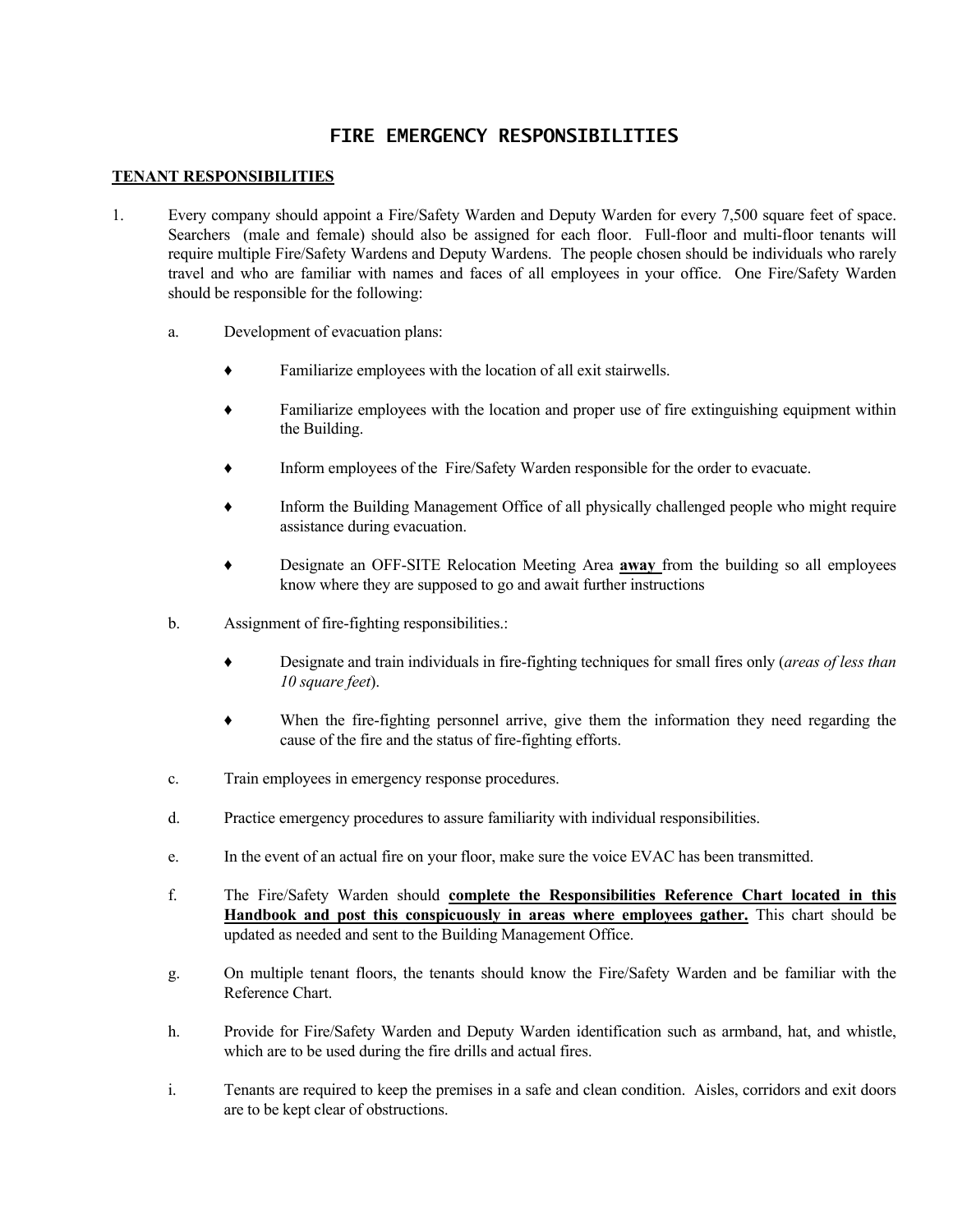### **FIRE EMERGENCY RESPONSIBILITIES**

#### **TENANT RESPONSIBILITIES**

- 1. Every company should appoint a Fire/Safety Warden and Deputy Warden for every 7,500 square feet of space. Searchers (male and female) should also be assigned for each floor. Full-floor and multi-floor tenants will require multiple Fire/Safety Wardens and Deputy Wardens. The people chosen should be individuals who rarely travel and who are familiar with names and faces of all employees in your office. One Fire/Safety Warden should be responsible for the following:
	- a. Development of evacuation plans:
		- Familiarize employees with the location of all exit stairwells.
		- ♦ Familiarize employees with the location and proper use of fire extinguishing equipment within the Building.
		- Inform employees of the Fire/Safety Warden responsible for the order to evacuate.
		- Inform the Building Management Office of all physically challenged people who might require assistance during evacuation.
		- ♦ Designate an OFF-SITE Relocation Meeting Area **away** from the building so all employees know where they are supposed to go and await further instructions
	- b. Assignment of fire-fighting responsibilities.:
		- Designate and train individuals in fire-fighting techniques for small fires only (*areas of less than 10 square feet*).
		- ♦ When the fire-fighting personnel arrive, give them the information they need regarding the cause of the fire and the status of fire-fighting efforts.
	- c. Train employees in emergency response procedures.
	- d. Practice emergency procedures to assure familiarity with individual responsibilities.
	- e. In the event of an actual fire on your floor, make sure the voice EVAC has been transmitted.
	- f. The Fire/Safety Warden should **complete the Responsibilities Reference Chart located in this Handbook and post this conspicuously in areas where employees gather.** This chart should be updated as needed and sent to the Building Management Office.
	- g. On multiple tenant floors, the tenants should know the Fire/Safety Warden and be familiar with the Reference Chart.
	- h. Provide for Fire/Safety Warden and Deputy Warden identification such as armband, hat, and whistle, which are to be used during the fire drills and actual fires.
	- i. Tenants are required to keep the premises in a safe and clean condition. Aisles, corridors and exit doors are to be kept clear of obstructions.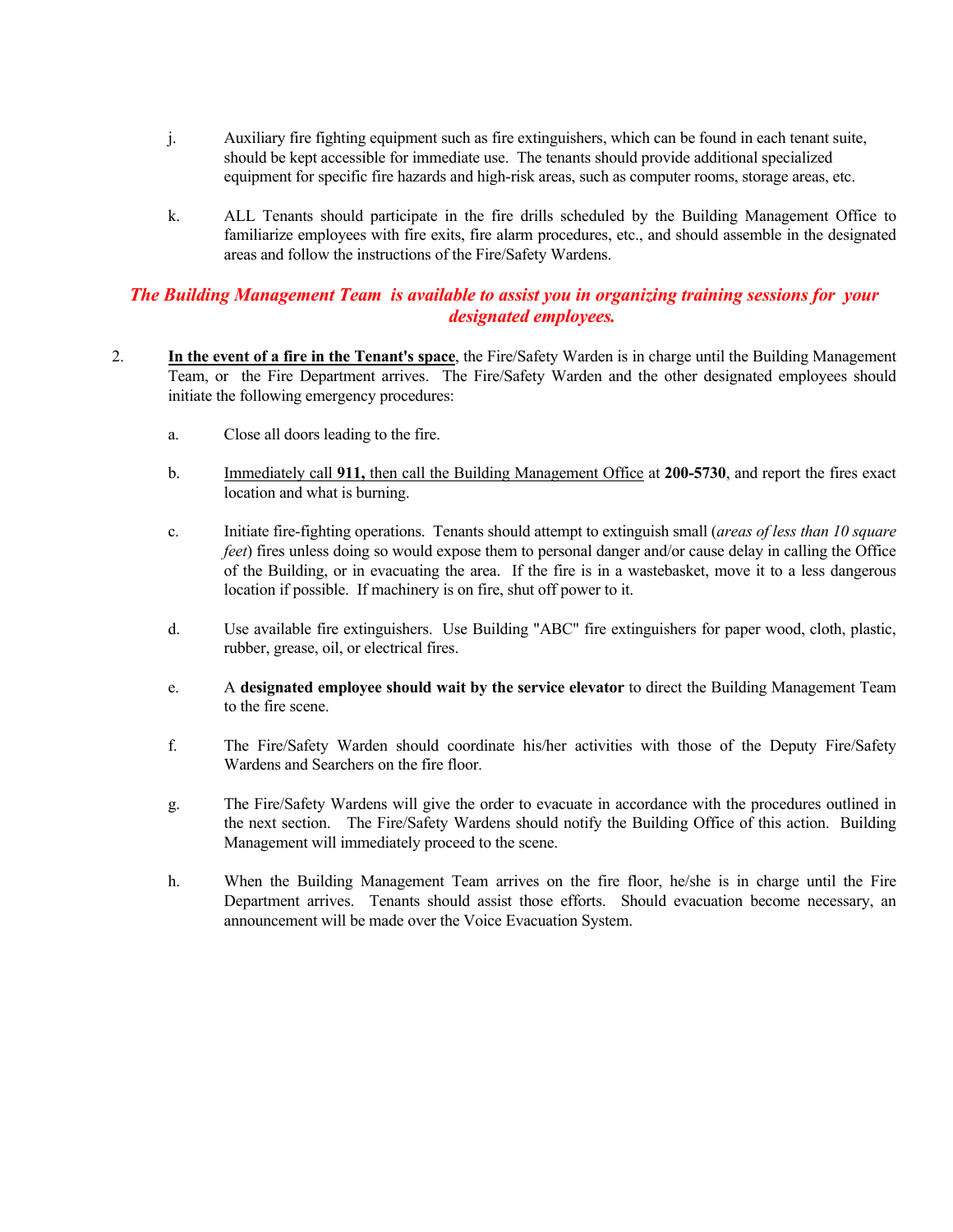- j. Auxiliary fire fighting equipment such as fire extinguishers, which can be found in each tenant suite, should be kept accessible for immediate use. The tenants should provide additional specialized equipment for specific fire hazards and high-risk areas, such as computer rooms, storage areas, etc.
- k. ALL Tenants should participate in the fire drills scheduled by the Building Management Office to familiarize employees with fire exits, fire alarm procedures, etc., and should assemble in the designated areas and follow the instructions of the Fire/Safety Wardens.

#### *The Building Management Team is available to assist you in organizing training sessions for your designated employees.*

- 2. **In the event of a fire in the Tenant's space**, the Fire/Safety Warden is in charge until the Building Management Team, or the Fire Department arrives. The Fire/Safety Warden and the other designated employees should initiate the following emergency procedures:
	- a. Close all doors leading to the fire.
	- b. Immediately call **911,** then call the Building Management Office at **200-5730**, and report the fires exact location and what is burning.
	- c. Initiate fire-fighting operations. Tenants should attempt to extinguish small (*areas of less than 10 square feet*) fires unless doing so would expose them to personal danger and/or cause delay in calling the Office of the Building, or in evacuating the area. If the fire is in a wastebasket, move it to a less dangerous location if possible. If machinery is on fire, shut off power to it.
	- d. Use available fire extinguishers. Use Building "ABC" fire extinguishers for paper wood, cloth, plastic, rubber, grease, oil, or electrical fires.
	- e. A **designated employee should wait by the service elevator** to direct the Building Management Team to the fire scene.
	- f. The Fire/Safety Warden should coordinate his/her activities with those of the Deputy Fire/Safety Wardens and Searchers on the fire floor.
	- g. The Fire/Safety Wardens will give the order to evacuate in accordance with the procedures outlined in the next section. The Fire/Safety Wardens should notify the Building Office of this action. Building Management will immediately proceed to the scene.
	- h. When the Building Management Team arrives on the fire floor, he/she is in charge until the Fire Department arrives. Tenants should assist those efforts. Should evacuation become necessary, an announcement will be made over the Voice Evacuation System.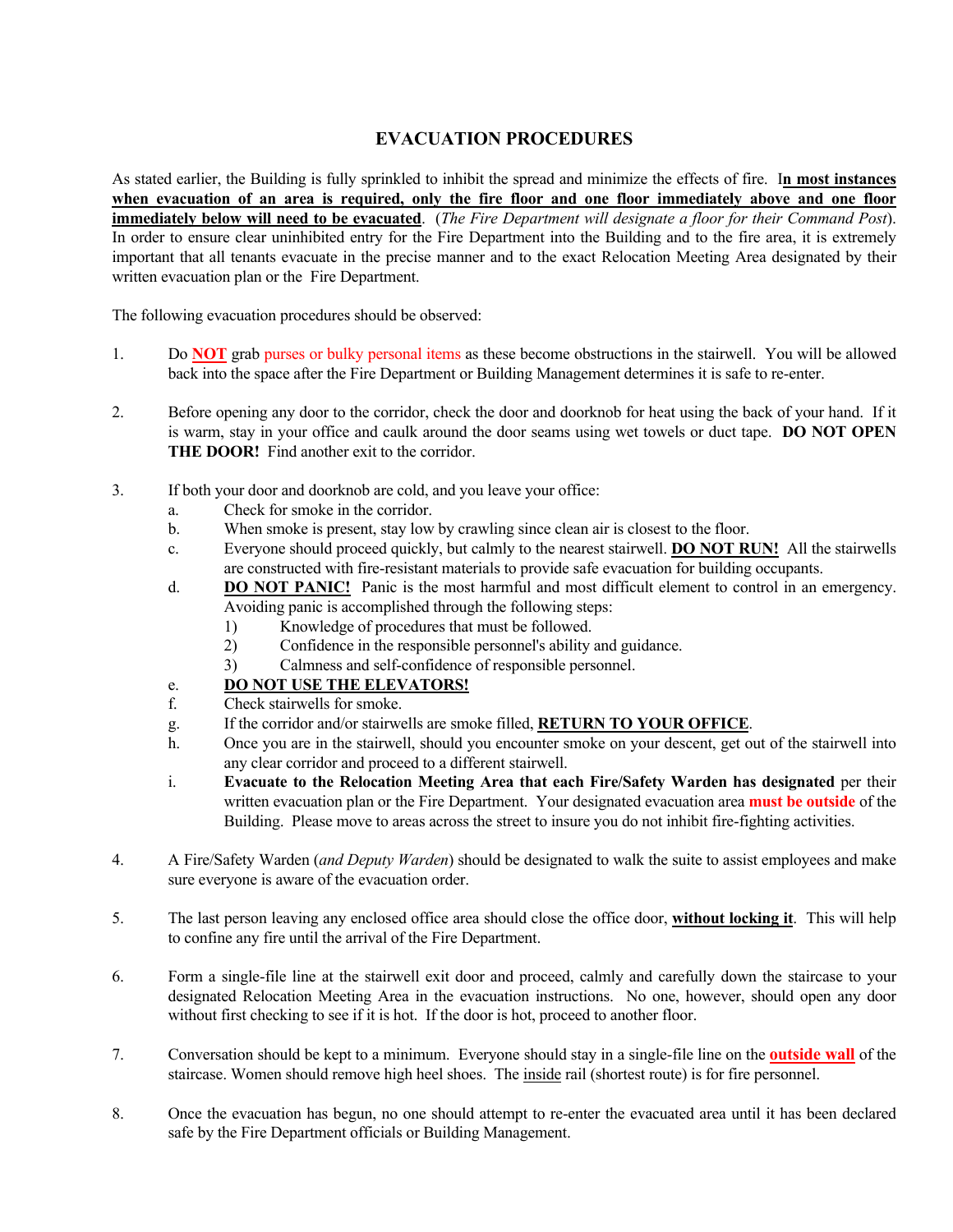### **EVACUATION PROCEDURES**

As stated earlier, the Building is fully sprinkled to inhibit the spread and minimize the effects of fire. I**n most instances when evacuation of an area is required, only the fire floor and one floor immediately above and one floor immediately below will need to be evacuated**. (*The Fire Department will designate a floor for their Command Post*). In order to ensure clear uninhibited entry for the Fire Department into the Building and to the fire area, it is extremely important that all tenants evacuate in the precise manner and to the exact Relocation Meeting Area designated by their written evacuation plan or the Fire Department.

The following evacuation procedures should be observed:

- 1. Do **NOT** grab purses or bulky personal items as these become obstructions in the stairwell. You will be allowed back into the space after the Fire Department or Building Management determines it is safe to re-enter.
- 2. Before opening any door to the corridor, check the door and doorknob for heat using the back of your hand. If it is warm, stay in your office and caulk around the door seams using wet towels or duct tape. **DO NOT OPEN THE DOOR!** Find another exit to the corridor.
- 3. If both your door and doorknob are cold, and you leave your office:
	- a. Check for smoke in the corridor.
	- b. When smoke is present, stay low by crawling since clean air is closest to the floor.
	- c. Everyone should proceed quickly, but calmly to the nearest stairwell. **DO NOT RUN!** All the stairwells are constructed with fire-resistant materials to provide safe evacuation for building occupants.
	- d. **DO NOT PANIC!** Panic is the most harmful and most difficult element to control in an emergency. Avoiding panic is accomplished through the following steps:
		- 1) Knowledge of procedures that must be followed.
		- 2) Confidence in the responsible personnel's ability and guidance.
		- 3) Calmness and self-confidence of responsible personnel.

#### e. **DO NOT USE THE ELEVATORS!**

- f. Check stairwells for smoke.
- g. If the corridor and/or stairwells are smoke filled, **RETURN TO YOUR OFFICE**.
- h. Once you are in the stairwell, should you encounter smoke on your descent, get out of the stairwell into any clear corridor and proceed to a different stairwell.
- i. **Evacuate to the Relocation Meeting Area that each Fire/Safety Warden has designated** per their written evacuation plan or the Fire Department. Your designated evacuation area **must be outside** of the Building. Please move to areas across the street to insure you do not inhibit fire-fighting activities.
- 4. A Fire/Safety Warden (*and Deputy Warden*) should be designated to walk the suite to assist employees and make sure everyone is aware of the evacuation order.
- 5. The last person leaving any enclosed office area should close the office door, **without locking it**. This will help to confine any fire until the arrival of the Fire Department.
- 6. Form a single-file line at the stairwell exit door and proceed, calmly and carefully down the staircase to your designated Relocation Meeting Area in the evacuation instructions. No one, however, should open any door without first checking to see if it is hot. If the door is hot, proceed to another floor.
- 7. Conversation should be kept to a minimum. Everyone should stay in a single-file line on the **outside wall** of the staircase. Women should remove high heel shoes. The inside rail (shortest route) is for fire personnel.
- 8. Once the evacuation has begun, no one should attempt to re-enter the evacuated area until it has been declared safe by the Fire Department officials or Building Management.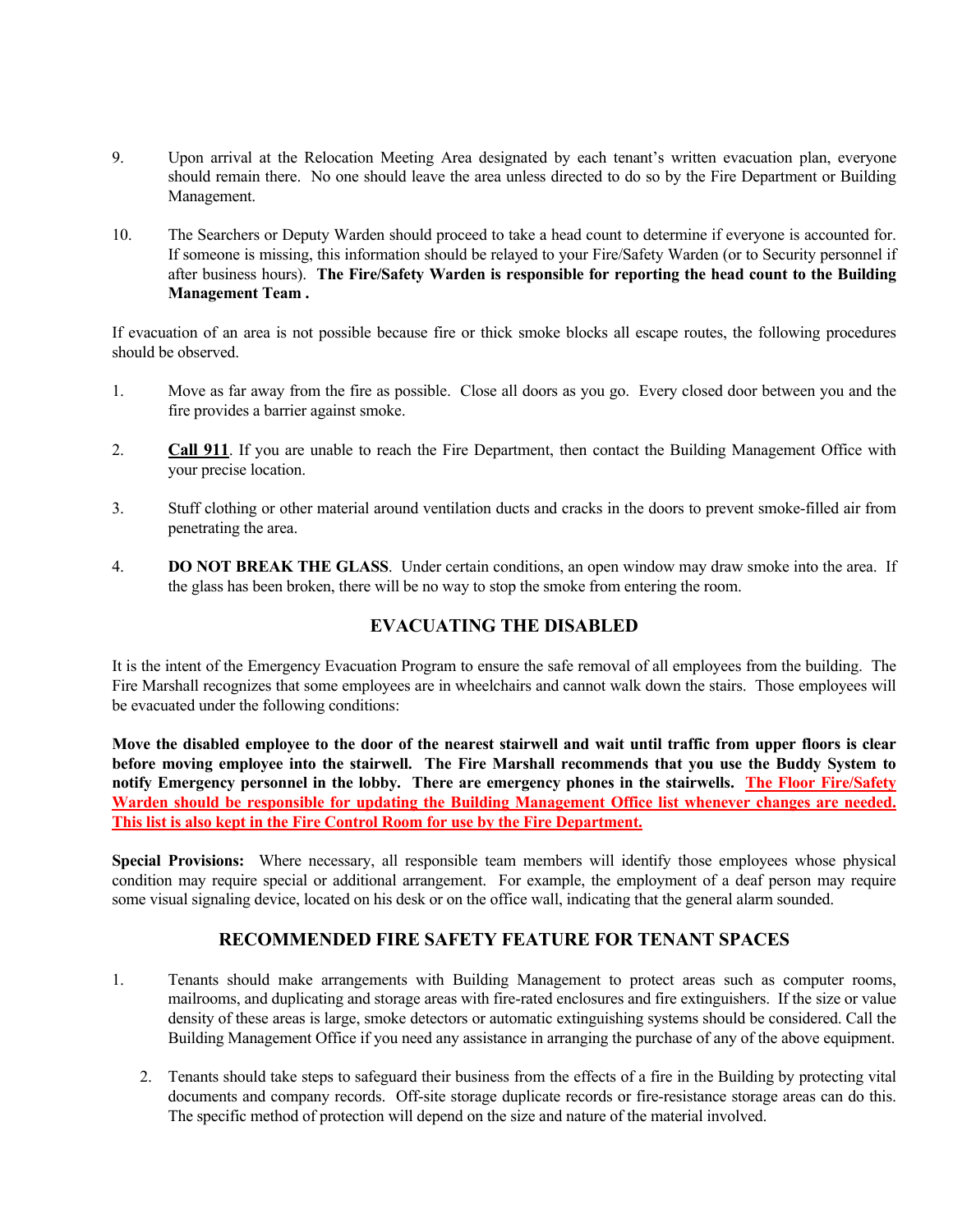- 9. Upon arrival at the Relocation Meeting Area designated by each tenant's written evacuation plan, everyone should remain there. No one should leave the area unless directed to do so by the Fire Department or Building Management.
- 10. The Searchers or Deputy Warden should proceed to take a head count to determine if everyone is accounted for. If someone is missing, this information should be relayed to your Fire/Safety Warden (or to Security personnel if after business hours). **The Fire/Safety Warden is responsible for reporting the head count to the Building Management Team .**

If evacuation of an area is not possible because fire or thick smoke blocks all escape routes, the following procedures should be observed.

- 1. Move as far away from the fire as possible. Close all doors as you go. Every closed door between you and the fire provides a barrier against smoke.
- 2. **Call 911**. If you are unable to reach the Fire Department, then contact the Building Management Office with your precise location.
- 3. Stuff clothing or other material around ventilation ducts and cracks in the doors to prevent smoke-filled air from penetrating the area.
- 4. **DO NOT BREAK THE GLASS**. Under certain conditions, an open window may draw smoke into the area. If the glass has been broken, there will be no way to stop the smoke from entering the room.

#### **EVACUATING THE DISABLED**

It is the intent of the Emergency Evacuation Program to ensure the safe removal of all employees from the building. The Fire Marshall recognizes that some employees are in wheelchairs and cannot walk down the stairs. Those employees will be evacuated under the following conditions:

**Move the disabled employee to the door of the nearest stairwell and wait until traffic from upper floors is clear before moving employee into the stairwell. The Fire Marshall recommends that you use the Buddy System to notify Emergency personnel in the lobby. There are emergency phones in the stairwells. The Floor Fire/Safety Warden should be responsible for updating the Building Management Office list whenever changes are needed. This list is also kept in the Fire Control Room for use by the Fire Department.** 

**Special Provisions:** Where necessary, all responsible team members will identify those employees whose physical condition may require special or additional arrangement. For example, the employment of a deaf person may require some visual signaling device, located on his desk or on the office wall, indicating that the general alarm sounded.

#### **RECOMMENDED FIRE SAFETY FEATURE FOR TENANT SPACES**

- 1. Tenants should make arrangements with Building Management to protect areas such as computer rooms, mailrooms, and duplicating and storage areas with fire-rated enclosures and fire extinguishers. If the size or value density of these areas is large, smoke detectors or automatic extinguishing systems should be considered. Call the Building Management Office if you need any assistance in arranging the purchase of any of the above equipment.
	- 2. Tenants should take steps to safeguard their business from the effects of a fire in the Building by protecting vital documents and company records. Off-site storage duplicate records or fire-resistance storage areas can do this. The specific method of protection will depend on the size and nature of the material involved.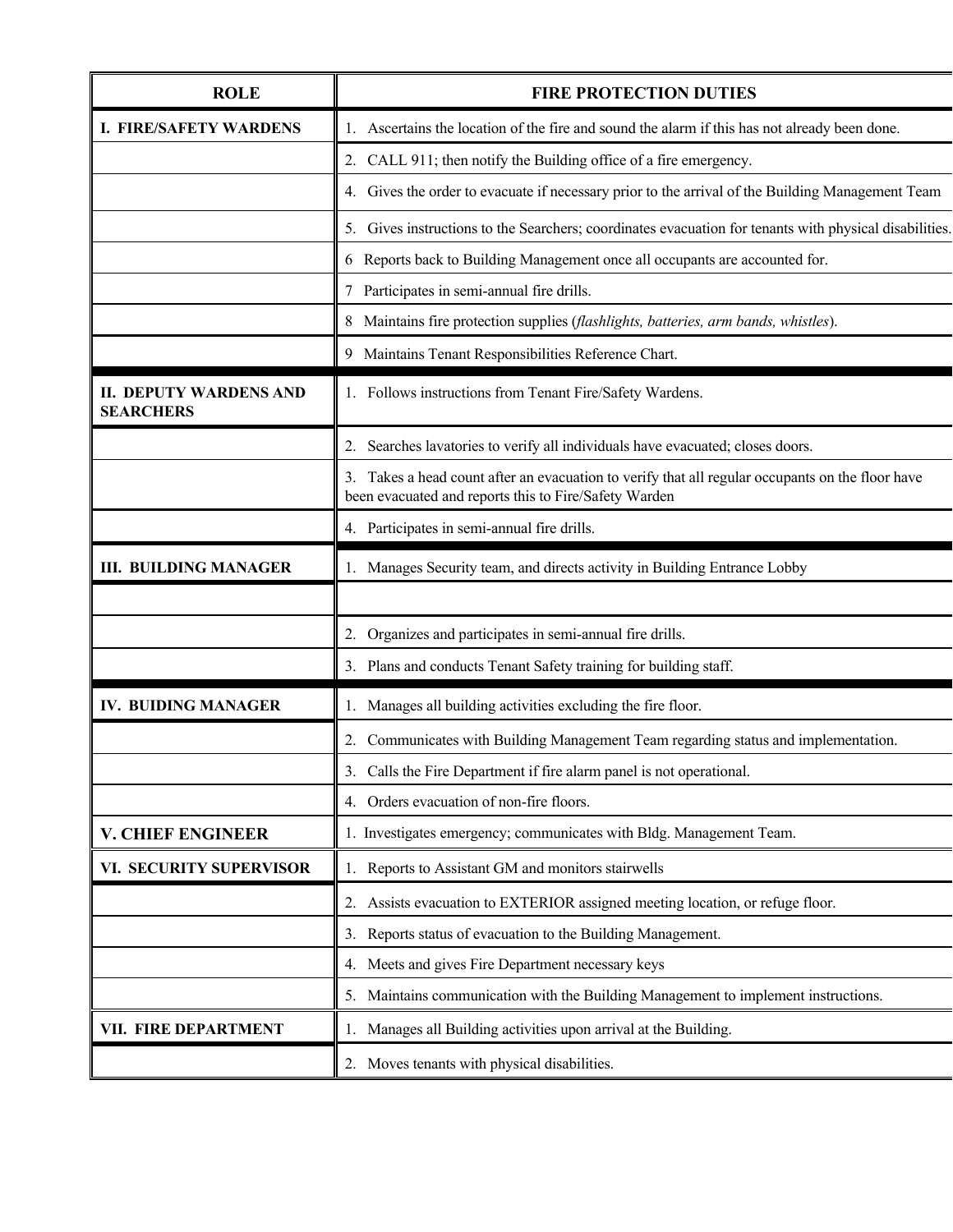| <b>ROLE</b>                                       | <b>FIRE PROTECTION DUTIES</b>                                                                                                                             |  |
|---------------------------------------------------|-----------------------------------------------------------------------------------------------------------------------------------------------------------|--|
| <b>I. FIRE/SAFETY WARDENS</b>                     | 1. Ascertains the location of the fire and sound the alarm if this has not already been done.                                                             |  |
|                                                   | 2. CALL 911; then notify the Building office of a fire emergency.                                                                                         |  |
|                                                   | 4. Gives the order to evacuate if necessary prior to the arrival of the Building Management Team                                                          |  |
|                                                   | 5. Gives instructions to the Searchers; coordinates evacuation for tenants with physical disabilities.                                                    |  |
|                                                   | 6 Reports back to Building Management once all occupants are accounted for.                                                                               |  |
|                                                   | 7 Participates in semi-annual fire drills.                                                                                                                |  |
|                                                   | 8 Maintains fire protection supplies (flashlights, batteries, arm bands, whistles).                                                                       |  |
|                                                   | 9 Maintains Tenant Responsibilities Reference Chart.                                                                                                      |  |
| <b>II. DEPUTY WARDENS AND</b><br><b>SEARCHERS</b> | 1. Follows instructions from Tenant Fire/Safety Wardens.                                                                                                  |  |
|                                                   | 2. Searches lavatories to verify all individuals have evacuated; closes doors.                                                                            |  |
|                                                   | 3. Takes a head count after an evacuation to verify that all regular occupants on the floor have<br>been evacuated and reports this to Fire/Safety Warden |  |
|                                                   | 4. Participates in semi-annual fire drills.                                                                                                               |  |
| <b>III. BUILDING MANAGER</b>                      | 1. Manages Security team, and directs activity in Building Entrance Lobby                                                                                 |  |
|                                                   |                                                                                                                                                           |  |
|                                                   | 2. Organizes and participates in semi-annual fire drills.                                                                                                 |  |
|                                                   | 3. Plans and conducts Tenant Safety training for building staff.                                                                                          |  |
| <b>IV. BUIDING MANAGER</b>                        | 1. Manages all building activities excluding the fire floor.                                                                                              |  |
|                                                   | 2. Communicates with Building Management Team regarding status and implementation.                                                                        |  |
|                                                   | 3. Calls the Fire Department if fire alarm panel is not operational.                                                                                      |  |
|                                                   | 4. Orders evacuation of non-fire floors.                                                                                                                  |  |
| <b>V. CHIEF ENGINEER</b>                          | 1. Investigates emergency; communicates with Bldg. Management Team.                                                                                       |  |
| VI. SECURITY SUPERVISOR                           | 1. Reports to Assistant GM and monitors stairwells                                                                                                        |  |
|                                                   | 2. Assists evacuation to EXTERIOR assigned meeting location, or refuge floor.                                                                             |  |
|                                                   | 3. Reports status of evacuation to the Building Management.                                                                                               |  |
|                                                   | 4. Meets and gives Fire Department necessary keys                                                                                                         |  |
|                                                   | 5. Maintains communication with the Building Management to implement instructions.                                                                        |  |
| VII. FIRE DEPARTMENT                              | 1. Manages all Building activities upon arrival at the Building.                                                                                          |  |
|                                                   | 2. Moves tenants with physical disabilities.                                                                                                              |  |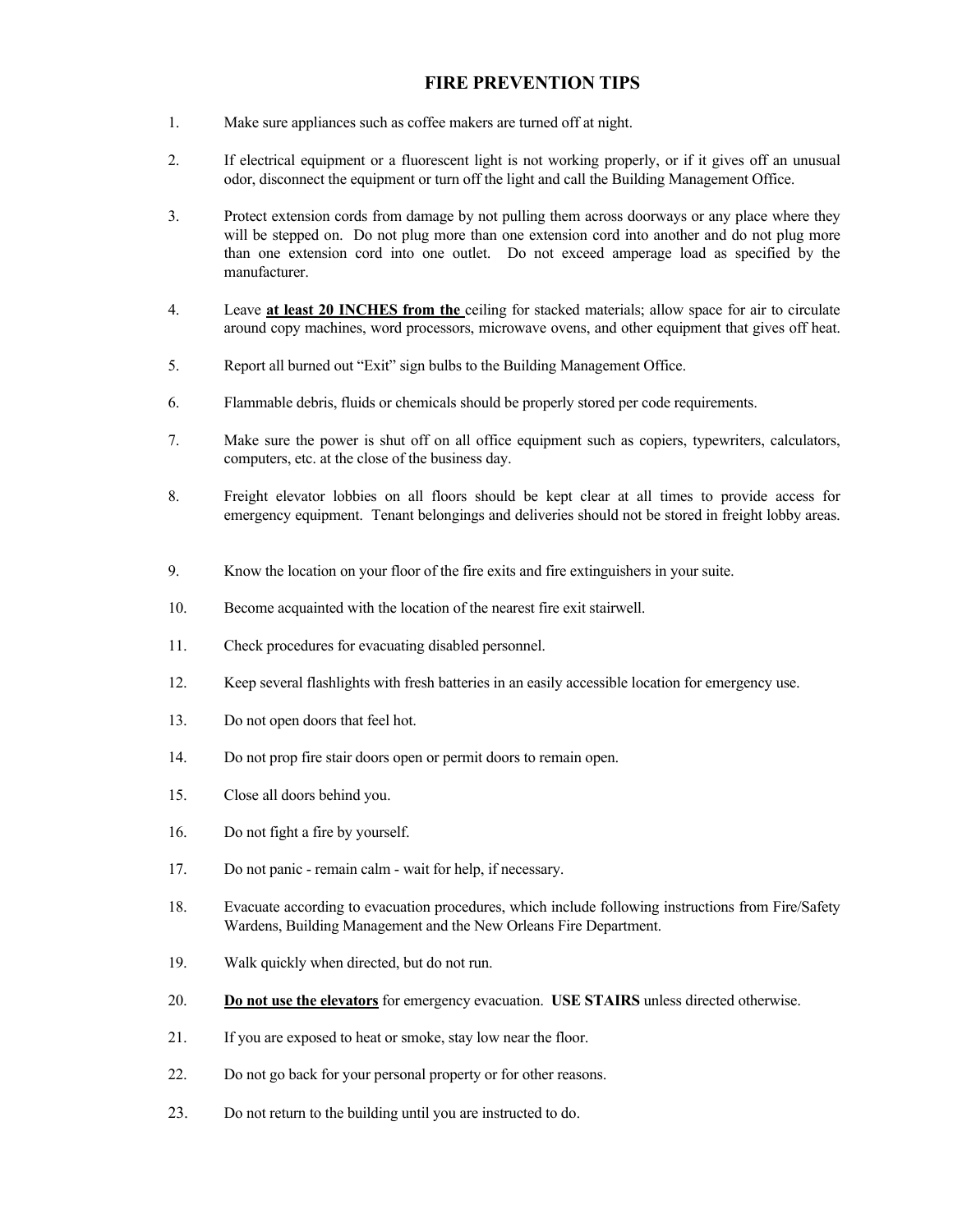#### **FIRE PREVENTION TIPS**

- 1. Make sure appliances such as coffee makers are turned off at night.
- 2. If electrical equipment or a fluorescent light is not working properly, or if it gives off an unusual odor, disconnect the equipment or turn off the light and call the Building Management Office.
- 3. Protect extension cords from damage by not pulling them across doorways or any place where they will be stepped on. Do not plug more than one extension cord into another and do not plug more than one extension cord into one outlet. Do not exceed amperage load as specified by the manufacturer.
- 4. Leave **at least 20 INCHES from the** ceiling for stacked materials; allow space for air to circulate around copy machines, word processors, microwave ovens, and other equipment that gives off heat.
- 5. Report all burned out "Exit" sign bulbs to the Building Management Office.
- 6. Flammable debris, fluids or chemicals should be properly stored per code requirements.
- 7. Make sure the power is shut off on all office equipment such as copiers, typewriters, calculators, computers, etc. at the close of the business day.
- 8. Freight elevator lobbies on all floors should be kept clear at all times to provide access for emergency equipment. Tenant belongings and deliveries should not be stored in freight lobby areas.
- 9. Know the location on your floor of the fire exits and fire extinguishers in your suite.
- 10. Become acquainted with the location of the nearest fire exit stairwell.
- 11. Check procedures for evacuating disabled personnel.
- 12. Keep several flashlights with fresh batteries in an easily accessible location for emergency use.
- 13. Do not open doors that feel hot.
- 14. Do not prop fire stair doors open or permit doors to remain open.
- 15. Close all doors behind you.
- 16. Do not fight a fire by yourself.
- 17. Do not panic remain calm wait for help, if necessary.
- 18. Evacuate according to evacuation procedures, which include following instructions from Fire/Safety Wardens, Building Management and the New Orleans Fire Department.
- 19. Walk quickly when directed, but do not run.
- 20. **Do not use the elevators** for emergency evacuation. **USE STAIRS** unless directed otherwise.
- 21. If you are exposed to heat or smoke, stay low near the floor.
- 22. Do not go back for your personal property or for other reasons.
- 23. Do not return to the building until you are instructed to do.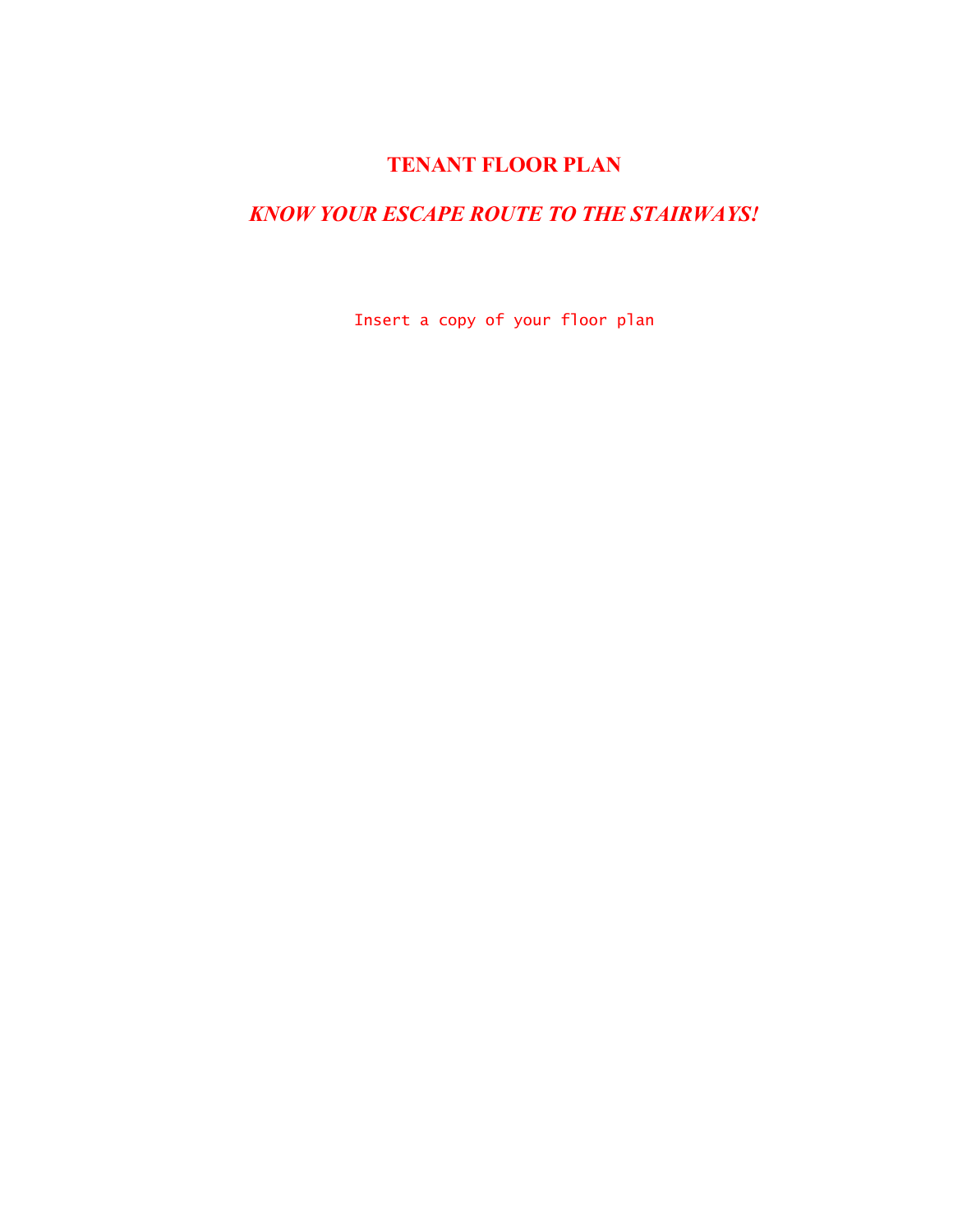# **TENANT FLOOR PLAN**

# *KNOW YOUR ESCAPE ROUTE TO THE STAIRWAYS!*

Insert a copy of your floor plan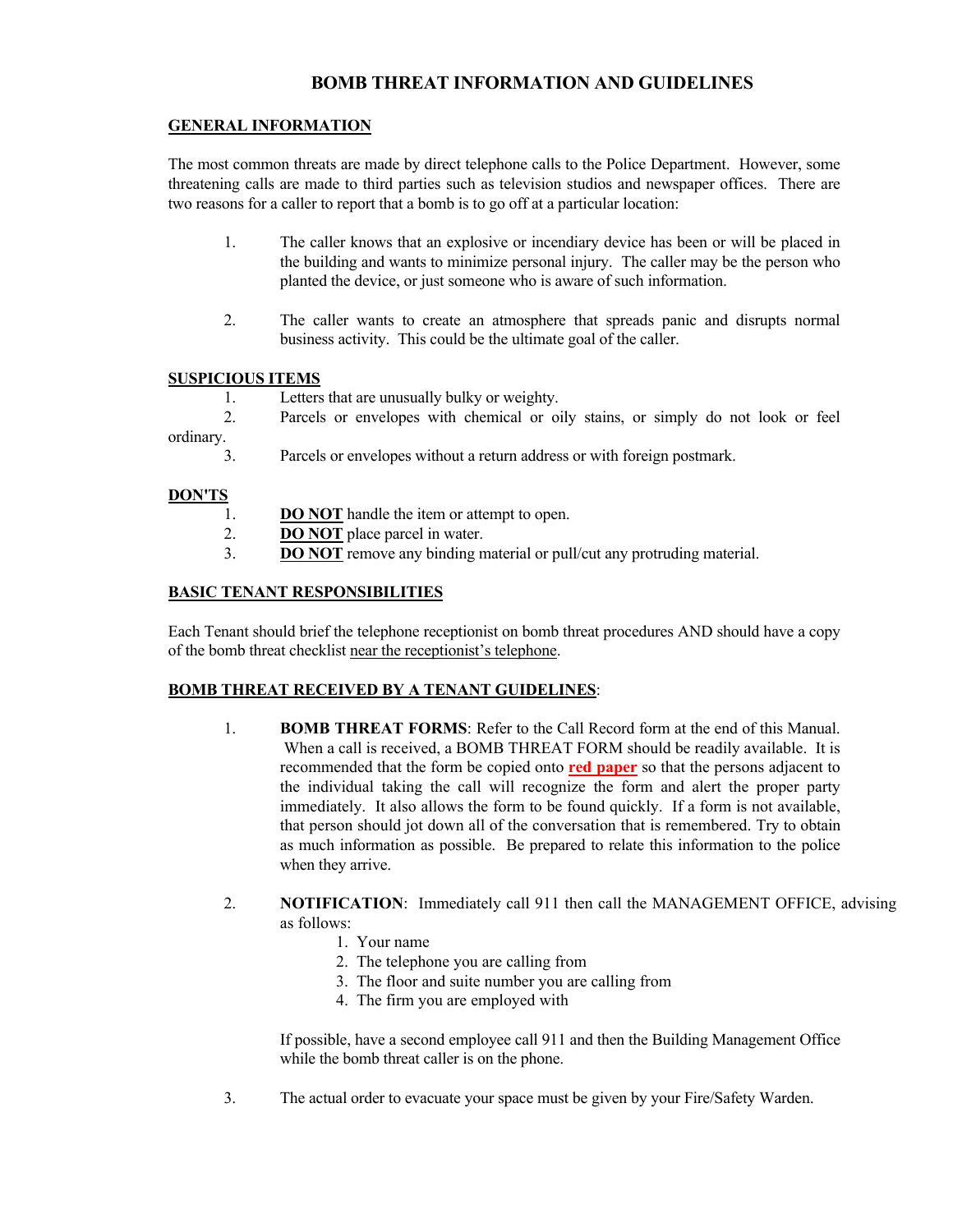#### **BOMB THREAT INFORMATION AND GUIDELINES**

#### **GENERAL INFORMATION**

The most common threats are made by direct telephone calls to the Police Department. However, some threatening calls are made to third parties such as television studios and newspaper offices. There are two reasons for a caller to report that a bomb is to go off at a particular location:

- 1. The caller knows that an explosive or incendiary device has been or will be placed in the building and wants to minimize personal injury. The caller may be the person who planted the device, or just someone who is aware of such information.
- 2. The caller wants to create an atmosphere that spreads panic and disrupts normal business activity. This could be the ultimate goal of the caller.

#### **SUSPICIOUS ITEMS**

1. Letters that are unusually bulky or weighty.

 2. Parcels or envelopes with chemical or oily stains, or simply do not look or feel ordinary.

3. Parcels or envelopes without a return address or with foreign postmark.

#### **DON'TS**

- 1. **DO NOT** handle the item or attempt to open.
- 2. **DO NOT** place parcel in water.
- 3. **DO NOT** remove any binding material or pull/cut any protruding material.

#### **BASIC TENANT RESPONSIBILITIES**

Each Tenant should brief the telephone receptionist on bomb threat procedures AND should have a copy of the bomb threat checklist near the receptionist's telephone.

#### **BOMB THREAT RECEIVED BY A TENANT GUIDELINES**:

- 1. **BOMB THREAT FORMS**: Refer to the Call Record form at the end of this Manual. When a call is received, a BOMB THREAT FORM should be readily available. It is recommended that the form be copied onto **red paper** so that the persons adjacent to the individual taking the call will recognize the form and alert the proper party immediately. It also allows the form to be found quickly. If a form is not available, that person should jot down all of the conversation that is remembered. Try to obtain as much information as possible. Be prepared to relate this information to the police when they arrive.
- 2. **NOTIFICATION**: Immediately call 911 then call the MANAGEMENT OFFICE, advising as follows:
	- 1. Your name
	- 2. The telephone you are calling from
	- 3. The floor and suite number you are calling from
	- 4. The firm you are employed with

 If possible, have a second employee call 911 and then the Building Management Office while the bomb threat caller is on the phone.

3. The actual order to evacuate your space must be given by your Fire/Safety Warden.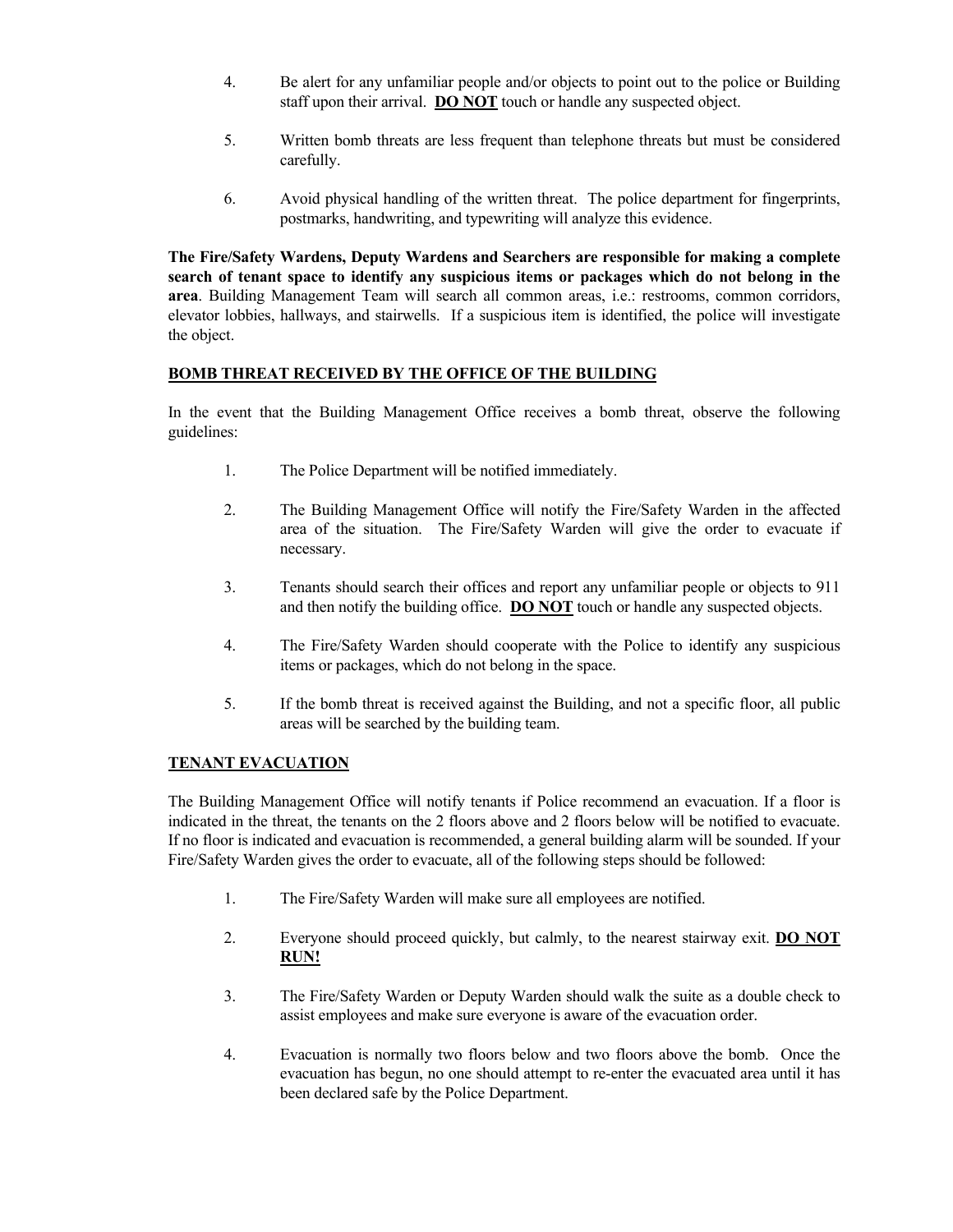- 4. Be alert for any unfamiliar people and/or objects to point out to the police or Building staff upon their arrival. **DO NOT** touch or handle any suspected object.
- 5. Written bomb threats are less frequent than telephone threats but must be considered carefully.
- 6. Avoid physical handling of the written threat. The police department for fingerprints, postmarks, handwriting, and typewriting will analyze this evidence.

**The Fire/Safety Wardens, Deputy Wardens and Searchers are responsible for making a complete search of tenant space to identify any suspicious items or packages which do not belong in the area**. Building Management Team will search all common areas, i.e.: restrooms, common corridors, elevator lobbies, hallways, and stairwells. If a suspicious item is identified, the police will investigate the object.

#### **BOMB THREAT RECEIVED BY THE OFFICE OF THE BUILDING**

In the event that the Building Management Office receives a bomb threat, observe the following guidelines:

- 1. The Police Department will be notified immediately.
- 2. The Building Management Office will notify the Fire/Safety Warden in the affected area of the situation. The Fire/Safety Warden will give the order to evacuate if necessary.
- 3. Tenants should search their offices and report any unfamiliar people or objects to 911 and then notify the building office. **DO NOT** touch or handle any suspected objects.
- 4. The Fire/Safety Warden should cooperate with the Police to identify any suspicious items or packages, which do not belong in the space.
- 5. If the bomb threat is received against the Building, and not a specific floor, all public areas will be searched by the building team.

#### **TENANT EVACUATION**

The Building Management Office will notify tenants if Police recommend an evacuation. If a floor is indicated in the threat, the tenants on the 2 floors above and 2 floors below will be notified to evacuate. If no floor is indicated and evacuation is recommended, a general building alarm will be sounded. If your Fire/Safety Warden gives the order to evacuate, all of the following steps should be followed:

- 1. The Fire/Safety Warden will make sure all employees are notified.
- 2. Everyone should proceed quickly, but calmly, to the nearest stairway exit. **DO NOT RUN!**
- 3. The Fire/Safety Warden or Deputy Warden should walk the suite as a double check to assist employees and make sure everyone is aware of the evacuation order.
- 4. Evacuation is normally two floors below and two floors above the bomb. Once the evacuation has begun, no one should attempt to re-enter the evacuated area until it has been declared safe by the Police Department.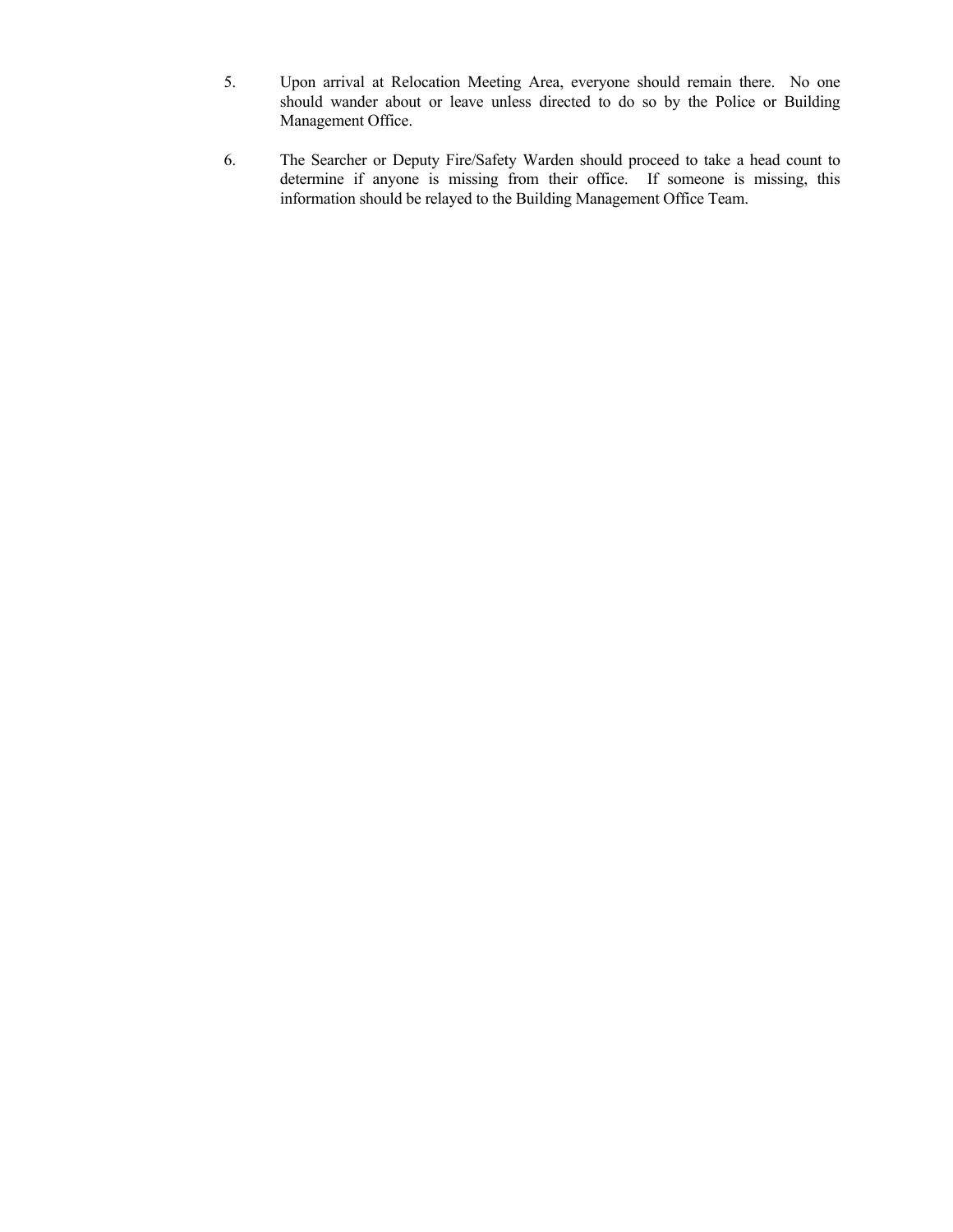- 5. Upon arrival at Relocation Meeting Area, everyone should remain there. No one should wander about or leave unless directed to do so by the Police or Building Management Office.
- 6. The Searcher or Deputy Fire/Safety Warden should proceed to take a head count to determine if anyone is missing from their office. If someone is missing, this information should be relayed to the Building Management Office Team.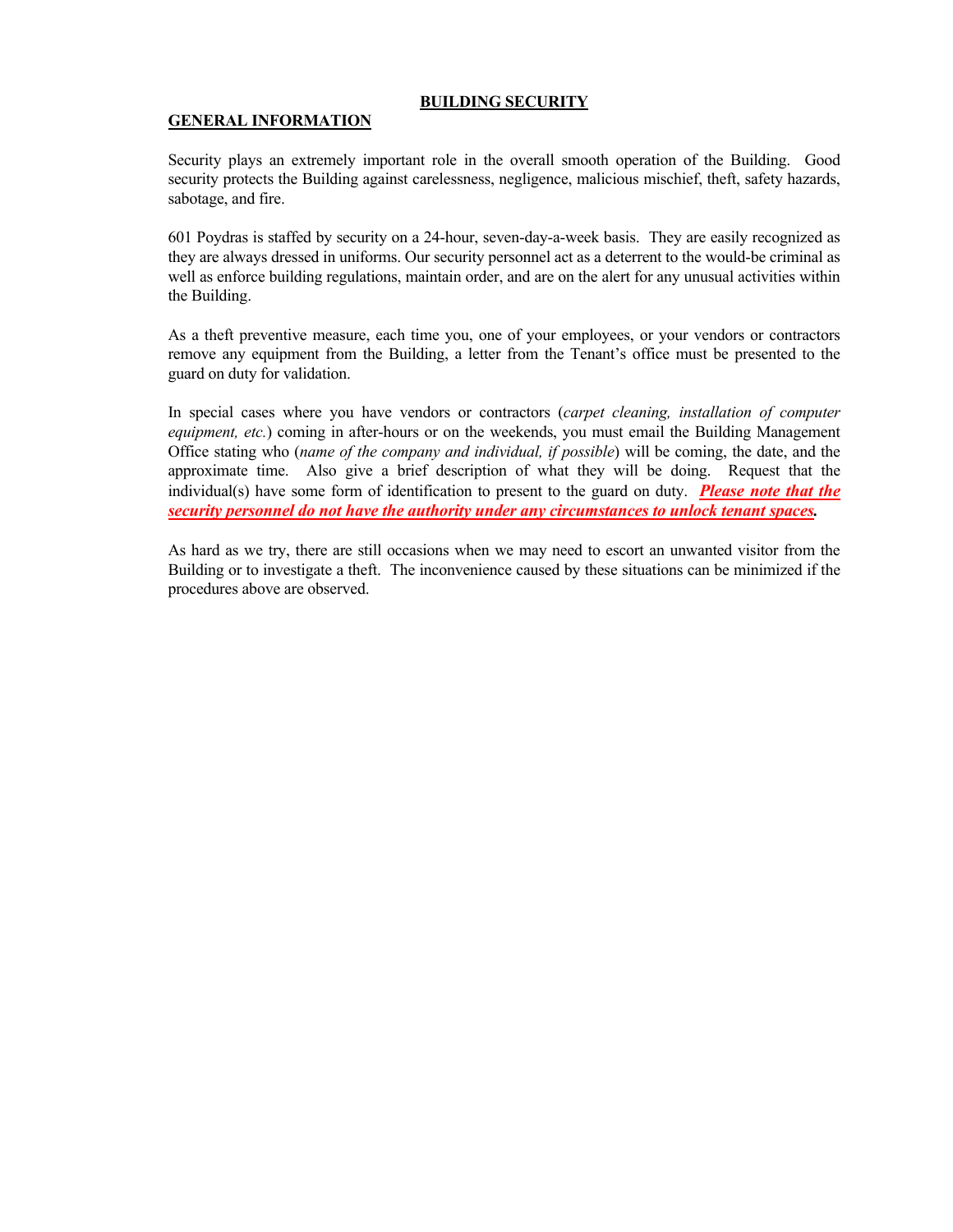#### **BUILDING SECURITY**

#### **GENERAL INFORMATION**

Security plays an extremely important role in the overall smooth operation of the Building. Good security protects the Building against carelessness, negligence, malicious mischief, theft, safety hazards, sabotage, and fire.

601 Poydras is staffed by security on a 24-hour, seven-day-a-week basis. They are easily recognized as they are always dressed in uniforms. Our security personnel act as a deterrent to the would-be criminal as well as enforce building regulations, maintain order, and are on the alert for any unusual activities within the Building.

As a theft preventive measure, each time you, one of your employees, or your vendors or contractors remove any equipment from the Building, a letter from the Tenant's office must be presented to the guard on duty for validation.

In special cases where you have vendors or contractors (*carpet cleaning, installation of computer equipment, etc.*) coming in after-hours or on the weekends, you must email the Building Management Office stating who (*name of the company and individual, if possible*) will be coming, the date, and the approximate time. Also give a brief description of what they will be doing. Request that the individual(s) have some form of identification to present to the guard on duty. *Please note that the security personnel do not have the authority under any circumstances to unlock tenant spaces.*

As hard as we try, there are still occasions when we may need to escort an unwanted visitor from the Building or to investigate a theft. The inconvenience caused by these situations can be minimized if the procedures above are observed.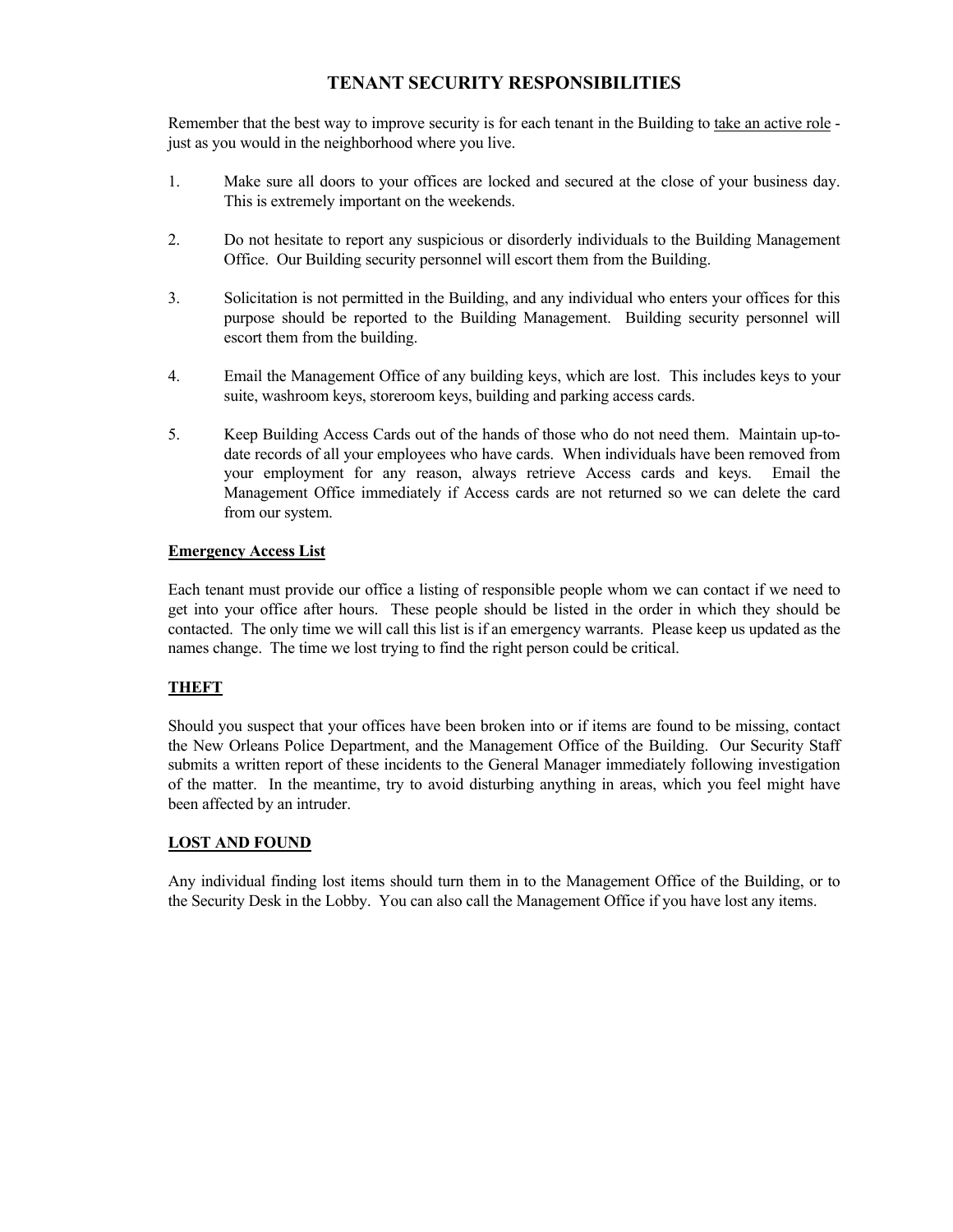#### **TENANT SECURITY RESPONSIBILITIES**

Remember that the best way to improve security is for each tenant in the Building to take an active role just as you would in the neighborhood where you live.

- 1. Make sure all doors to your offices are locked and secured at the close of your business day. This is extremely important on the weekends.
- 2. Do not hesitate to report any suspicious or disorderly individuals to the Building Management Office. Our Building security personnel will escort them from the Building.
- 3. Solicitation is not permitted in the Building, and any individual who enters your offices for this purpose should be reported to the Building Management. Building security personnel will escort them from the building.
- 4. Email the Management Office of any building keys, which are lost. This includes keys to your suite, washroom keys, storeroom keys, building and parking access cards.
- 5. Keep Building Access Cards out of the hands of those who do not need them. Maintain up-todate records of all your employees who have cards. When individuals have been removed from your employment for any reason, always retrieve Access cards and keys. Email the Management Office immediately if Access cards are not returned so we can delete the card from our system.

#### **Emergency Access List**

Each tenant must provide our office a listing of responsible people whom we can contact if we need to get into your office after hours. These people should be listed in the order in which they should be contacted. The only time we will call this list is if an emergency warrants. Please keep us updated as the names change. The time we lost trying to find the right person could be critical.

#### **THEFT**

Should you suspect that your offices have been broken into or if items are found to be missing, contact the New Orleans Police Department, and the Management Office of the Building. Our Security Staff submits a written report of these incidents to the General Manager immediately following investigation of the matter. In the meantime, try to avoid disturbing anything in areas, which you feel might have been affected by an intruder.

#### **LOST AND FOUND**

Any individual finding lost items should turn them in to the Management Office of the Building, or to the Security Desk in the Lobby. You can also call the Management Office if you have lost any items.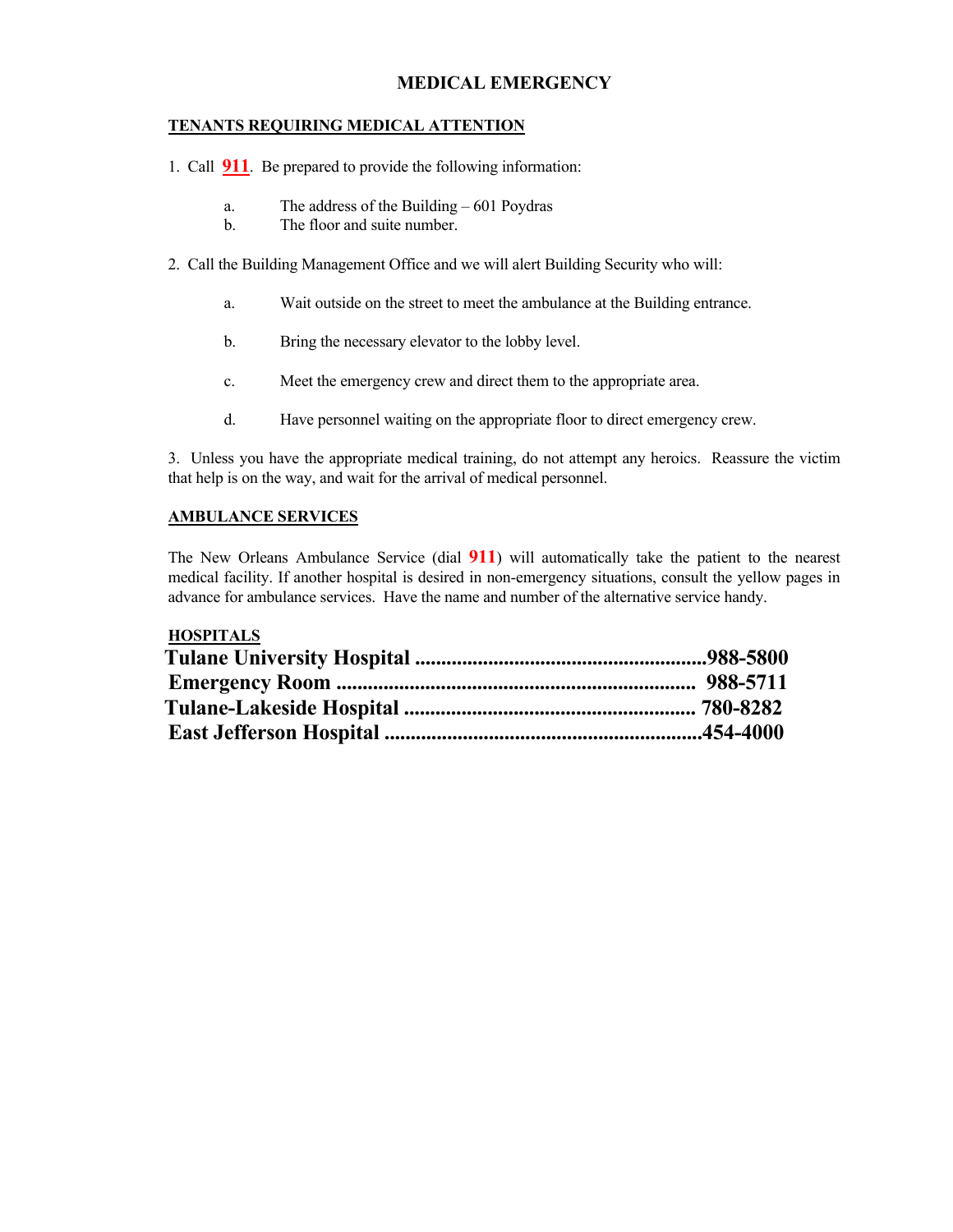#### **MEDICAL EMERGENCY**

#### **TENANTS REQUIRING MEDICAL ATTENTION**

1. Call **911**. Be prepared to provide the following information:

- a. The address of the Building 601 Poydras
- b. The floor and suite number.
- 2. Call the Building Management Office and we will alert Building Security who will:
	- a. Wait outside on the street to meet the ambulance at the Building entrance.
	- b. Bring the necessary elevator to the lobby level.
	- c. Meet the emergency crew and direct them to the appropriate area.
	- d. Have personnel waiting on the appropriate floor to direct emergency crew.

3. Unless you have the appropriate medical training, do not attempt any heroics. Reassure the victim that help is on the way, and wait for the arrival of medical personnel.

#### **AMBULANCE SERVICES**

The New Orleans Ambulance Service (dial **911**) will automatically take the patient to the nearest medical facility. If another hospital is desired in non-emergency situations, consult the yellow pages in advance for ambulance services. Have the name and number of the alternative service handy.

#### **HOSPITALS**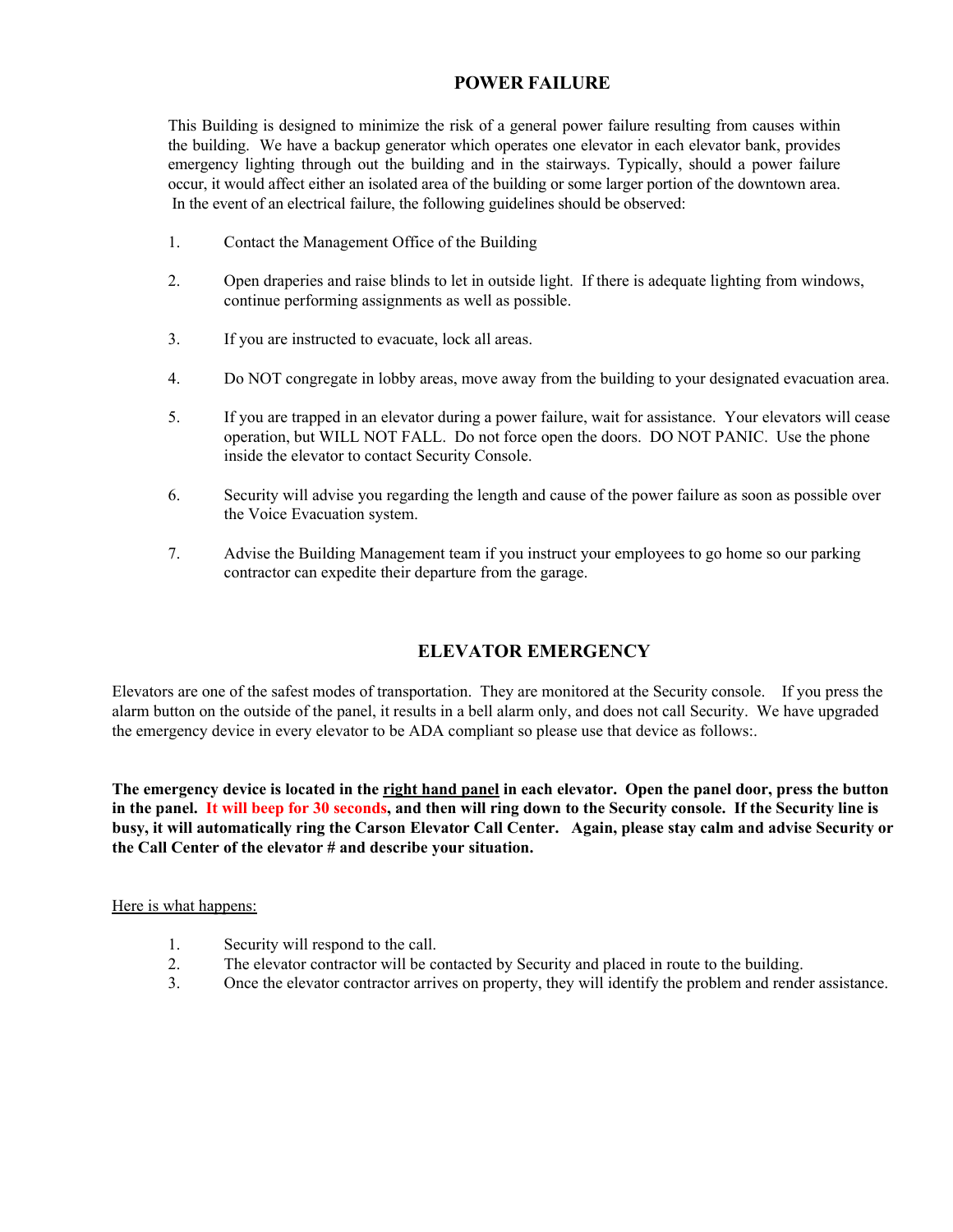#### **POWER FAILURE**

This Building is designed to minimize the risk of a general power failure resulting from causes within the building. We have a backup generator which operates one elevator in each elevator bank, provides emergency lighting through out the building and in the stairways. Typically, should a power failure occur, it would affect either an isolated area of the building or some larger portion of the downtown area. In the event of an electrical failure, the following guidelines should be observed:

- 1. Contact the Management Office of the Building
- 2. Open draperies and raise blinds to let in outside light. If there is adequate lighting from windows, continue performing assignments as well as possible.
- 3. If you are instructed to evacuate, lock all areas.
- 4. Do NOT congregate in lobby areas, move away from the building to your designated evacuation area.
- 5. If you are trapped in an elevator during a power failure, wait for assistance. Your elevators will cease operation, but WILL NOT FALL. Do not force open the doors. DO NOT PANIC. Use the phone inside the elevator to contact Security Console.
- 6. Security will advise you regarding the length and cause of the power failure as soon as possible over the Voice Evacuation system.
- 7. Advise the Building Management team if you instruct your employees to go home so our parking contractor can expedite their departure from the garage.

#### **ELEVATOR EMERGENCY**

Elevators are one of the safest modes of transportation. They are monitored at the Security console. If you press the alarm button on the outside of the panel, it results in a bell alarm only, and does not call Security. We have upgraded the emergency device in every elevator to be ADA compliant so please use that device as follows:.

**The emergency device is located in the right hand panel in each elevator. Open the panel door, press the button in the panel. It will beep for 30 seconds, and then will ring down to the Security console. If the Security line is busy, it will automatically ring the Carson Elevator Call Center. Again, please stay calm and advise Security or the Call Center of the elevator # and describe your situation.** 

#### Here is what happens:

- 1. Security will respond to the call.
- 2. The elevator contractor will be contacted by Security and placed in route to the building.
- 3. Once the elevator contractor arrives on property, they will identify the problem and render assistance.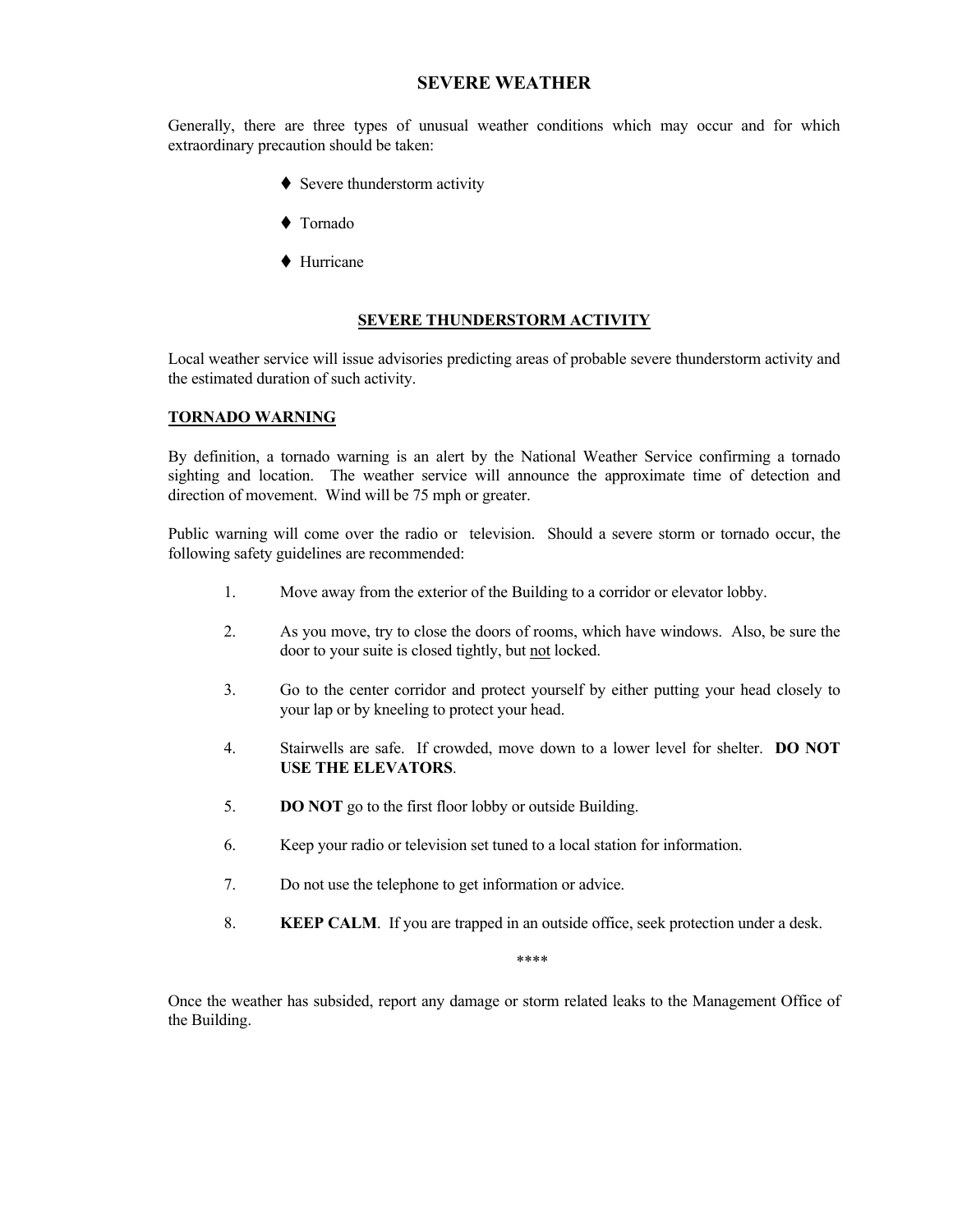#### **SEVERE WEATHER**

Generally, there are three types of unusual weather conditions which may occur and for which extraordinary precaution should be taken:

- $\blacklozenge$  Severe thunderstorm activity
- ◆ Tornado
- ◆ Hurricane

#### **SEVERE THUNDERSTORM ACTIVITY**

Local weather service will issue advisories predicting areas of probable severe thunderstorm activity and the estimated duration of such activity.

#### **TORNADO WARNING**

By definition, a tornado warning is an alert by the National Weather Service confirming a tornado sighting and location. The weather service will announce the approximate time of detection and direction of movement. Wind will be 75 mph or greater.

Public warning will come over the radio or television. Should a severe storm or tornado occur, the following safety guidelines are recommended:

- 1. Move away from the exterior of the Building to a corridor or elevator lobby.
- 2. As you move, try to close the doors of rooms, which have windows. Also, be sure the door to your suite is closed tightly, but not locked.
- 3. Go to the center corridor and protect yourself by either putting your head closely to your lap or by kneeling to protect your head.
- 4. Stairwells are safe. If crowded, move down to a lower level for shelter. **DO NOT USE THE ELEVATORS**.
- 5. **DO NOT** go to the first floor lobby or outside Building.
- 6. Keep your radio or television set tuned to a local station for information.
- 7. Do not use the telephone to get information or advice.
- 8. **KEEP CALM**. If you are trapped in an outside office, seek protection under a desk.

\*\*\*\*

Once the weather has subsided, report any damage or storm related leaks to the Management Office of the Building.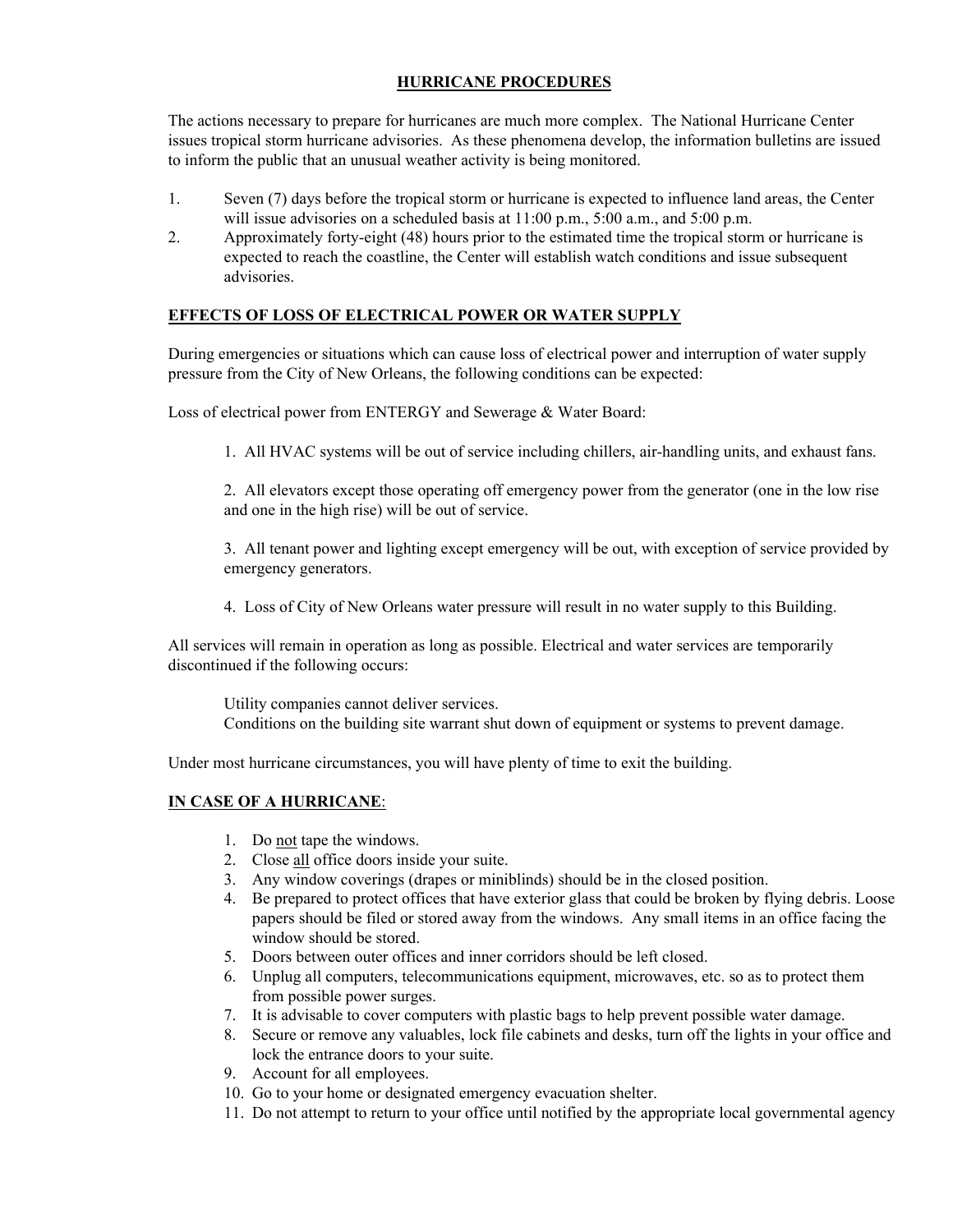#### **HURRICANE PROCEDURES**

The actions necessary to prepare for hurricanes are much more complex. The National Hurricane Center issues tropical storm hurricane advisories. As these phenomena develop, the information bulletins are issued to inform the public that an unusual weather activity is being monitored.

- 1. Seven (7) days before the tropical storm or hurricane is expected to influence land areas, the Center will issue advisories on a scheduled basis at 11:00 p.m., 5:00 a.m., and 5:00 p.m.
- 2. Approximately forty-eight (48) hours prior to the estimated time the tropical storm or hurricane is expected to reach the coastline, the Center will establish watch conditions and issue subsequent advisories.

#### **EFFECTS OF LOSS OF ELECTRICAL POWER OR WATER SUPPLY**

During emergencies or situations which can cause loss of electrical power and interruption of water supply pressure from the City of New Orleans, the following conditions can be expected:

Loss of electrical power from ENTERGY and Sewerage & Water Board:

1. All HVAC systems will be out of service including chillers, air-handling units, and exhaust fans.

2. All elevators except those operating off emergency power from the generator (one in the low rise and one in the high rise) will be out of service.

3. All tenant power and lighting except emergency will be out, with exception of service provided by emergency generators.

4. Loss of City of New Orleans water pressure will result in no water supply to this Building.

All services will remain in operation as long as possible. Electrical and water services are temporarily discontinued if the following occurs:

Utility companies cannot deliver services. Conditions on the building site warrant shut down of equipment or systems to prevent damage.

Under most hurricane circumstances, you will have plenty of time to exit the building.

#### **IN CASE OF A HURRICANE**:

- 1. Do not tape the windows.
- 2. Close all office doors inside your suite.
- 3. Any window coverings (drapes or miniblinds) should be in the closed position.
- 4. Be prepared to protect offices that have exterior glass that could be broken by flying debris. Loose papers should be filed or stored away from the windows. Any small items in an office facing the window should be stored.
- 5. Doors between outer offices and inner corridors should be left closed.
- 6. Unplug all computers, telecommunications equipment, microwaves, etc. so as to protect them from possible power surges.
- 7. It is advisable to cover computers with plastic bags to help prevent possible water damage.
- 8. Secure or remove any valuables, lock file cabinets and desks, turn off the lights in your office and lock the entrance doors to your suite.
- 9. Account for all employees.
- 10. Go to your home or designated emergency evacuation shelter.
- 11. Do not attempt to return to your office until notified by the appropriate local governmental agency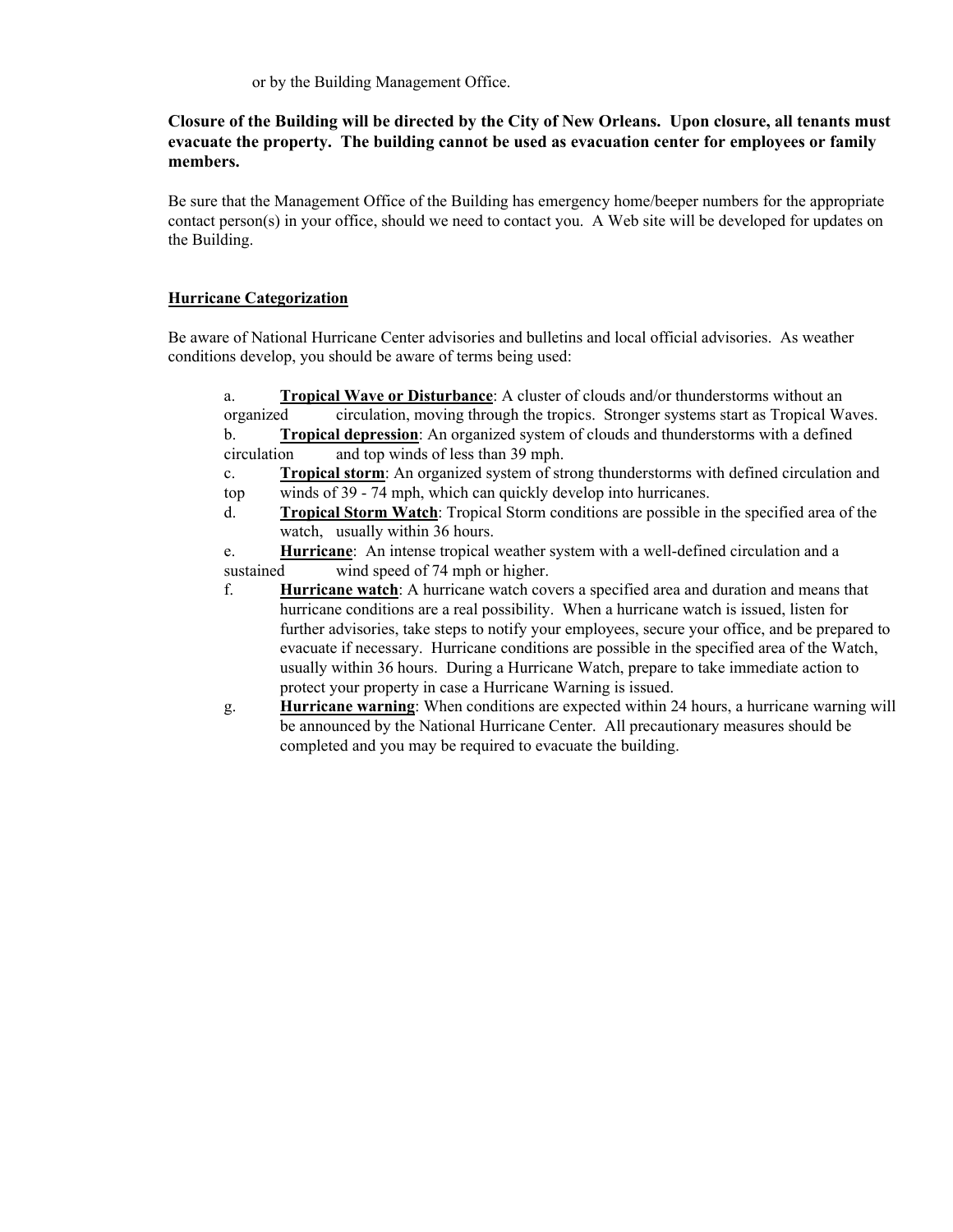or by the Building Management Office.

#### **Closure of the Building will be directed by the City of New Orleans. Upon closure, all tenants must evacuate the property. The building cannot be used as evacuation center for employees or family members.**

Be sure that the Management Office of the Building has emergency home/beeper numbers for the appropriate contact person(s) in your office, should we need to contact you. A Web site will be developed for updates on the Building.

#### **Hurricane Categorization**

Be aware of National Hurricane Center advisories and bulletins and local official advisories. As weather conditions develop, you should be aware of terms being used:

| a.          | <b>Tropical Wave or Disturbance:</b> A cluster of clouds and/or thunderstorms without an         |
|-------------|--------------------------------------------------------------------------------------------------|
| organized   | circulation, moving through the tropics. Stronger systems start as Tropical Waves.               |
| b.          | <b>Tropical depression:</b> An organized system of clouds and thunderstorms with a defined       |
| circulation | and top winds of less than 39 mph.                                                               |
| $c_{\cdot}$ | Tropical storm: An organized system of strong thunderstorms with defined circulation and         |
| top         | winds of 39 - 74 mph, which can quickly develop into hurricanes.                                 |
| d.          | <b>Tropical Storm Watch:</b> Tropical Storm conditions are possible in the specified area of the |
|             | watch, usually within 36 hours.                                                                  |
| e.          | Hurricane: An intense tropical weather system with a well-defined circulation and a              |
| sustained   | wind speed of 74 mph or higher.                                                                  |
| f.          | Hurricane watch: A hurricane watch covers a specified area and duration and means that           |
|             | hurricane conditions are a real possibility. When a hurricane watch is issued, listen for        |
|             | further advisories, take steps to notify your employees, secure your office, and be prepared to  |
|             | evacuate if necessary. Hurricane conditions are possible in the specified area of the Watch,     |
|             | usually within 36 hours. During a Hurricane Watch, prepare to take immediate action to           |
|             | protect your property in case a Hurricane Warning is issued.                                     |
| g.          | <b>Hurricane warning:</b> When conditions are expected within 24 hours, a hurricane warning will |
|             | be announced by the National Hurricane Center. All precautionary measures should be              |
|             | completed and you may be required to evacuate the building.                                      |
|             |                                                                                                  |
|             |                                                                                                  |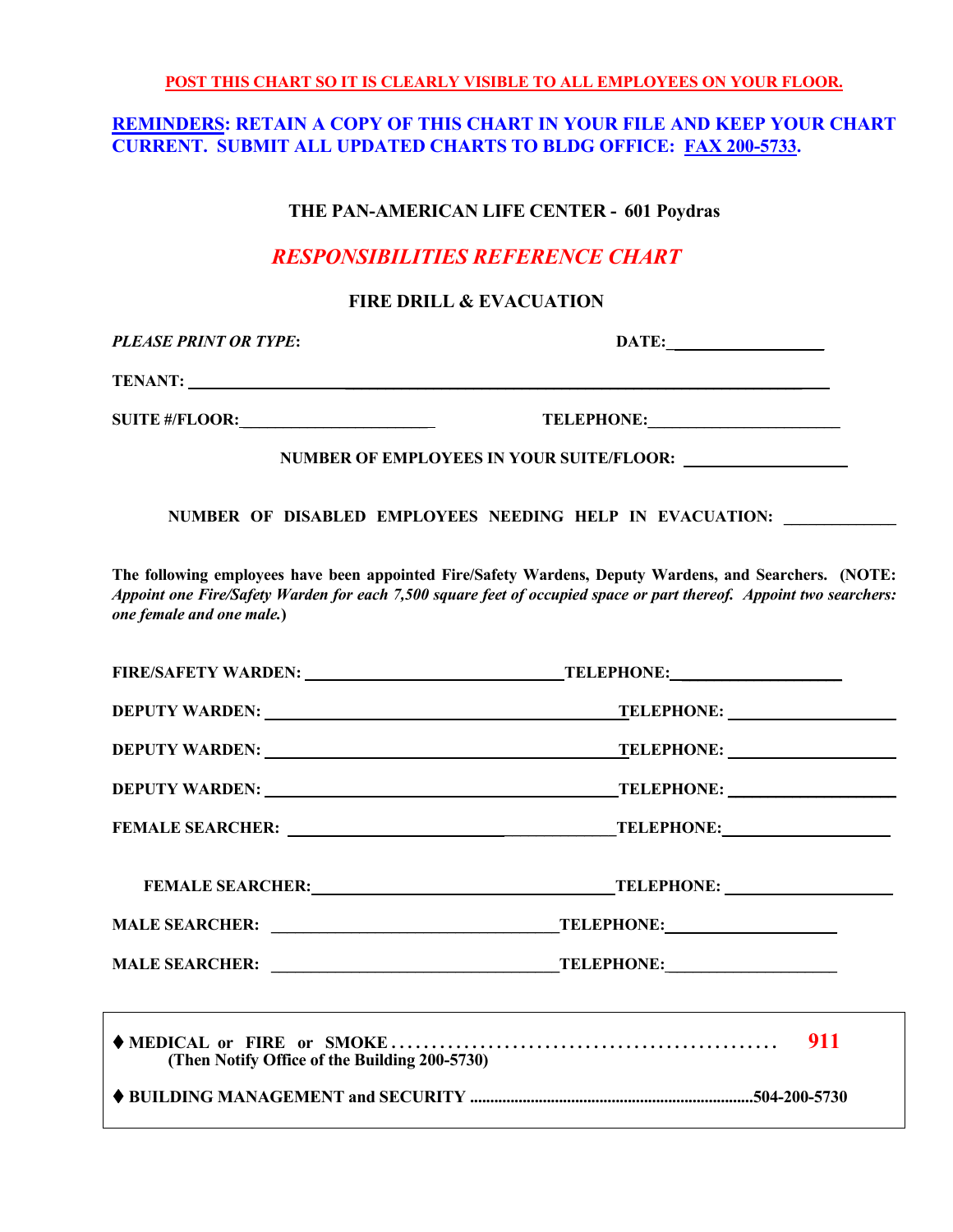**POST THIS CHART SO IT IS CLEARLY VISIBLE TO ALL EMPLOYEES ON YOUR FLOOR.** 

#### **REMINDERS: RETAIN A COPY OF THIS CHART IN YOUR FILE AND KEEP YOUR CHART CURRENT. SUBMIT ALL UPDATED CHARTS TO BLDG OFFICE: FAX 200-5733.**

#### **THE PAN-AMERICAN LIFE CENTER - 601 Poydras**

### *RESPONSIBILITIES REFERENCE CHART*

#### **FIRE DRILL & EVACUATION**

*PLEASE PRINT OR TYPE***: DATE:\_ \_ \_\_\_\_\_** 

**TENANT: \_\_\_\_\_\_\_\_\_\_\_\_\_\_\_\_\_\_\_\_\_\_\_\_\_\_\_\_\_\_\_\_\_\_\_\_\_\_\_\_\_\_\_\_\_\_\_\_\_\_\_\_\_\_\_\_\_** 

**SUITE #/FLOOR: \_\_\_\_\_\_\_\_\_\_\_\_\_\_\_\_\_\_\_\_\_\_\_ TELEPHONE:\_\_\_\_\_\_\_\_\_\_\_\_\_\_\_\_\_\_\_\_\_\_\_\_** 

 **NUMBER OF EMPLOYEES IN YOUR SUITE/FLOOR: \_\_\_\_\_\_\_\_\_\_\_\_\_\_\_\_\_\_\_\_** 

 **NUMBER OF DISABLED EMPLOYEES NEEDING HELP IN EVACUATION: \_\_\_\_\_\_\_\_\_\_\_\_\_\_** 

**The following employees have been appointed Fire/Safety Wardens, Deputy Wardens, and Searchers. (NOTE:**  *Appoint one Fire/Safety Warden for each 7,500 square feet of occupied space or part thereof. Appoint two searchers: one female and one male.***)** 

| DEPUTY WARDEN: VARDEN                         | <b>TELEPHONE:</b> ___________________ |
|-----------------------------------------------|---------------------------------------|
|                                               |                                       |
|                                               |                                       |
| FEMALE SEARCHER: TELEPHONE: TELEPHONE:        |                                       |
|                                               |                                       |
|                                               |                                       |
|                                               |                                       |
|                                               |                                       |
| (Then Notify Office of the Building 200-5730) |                                       |
|                                               |                                       |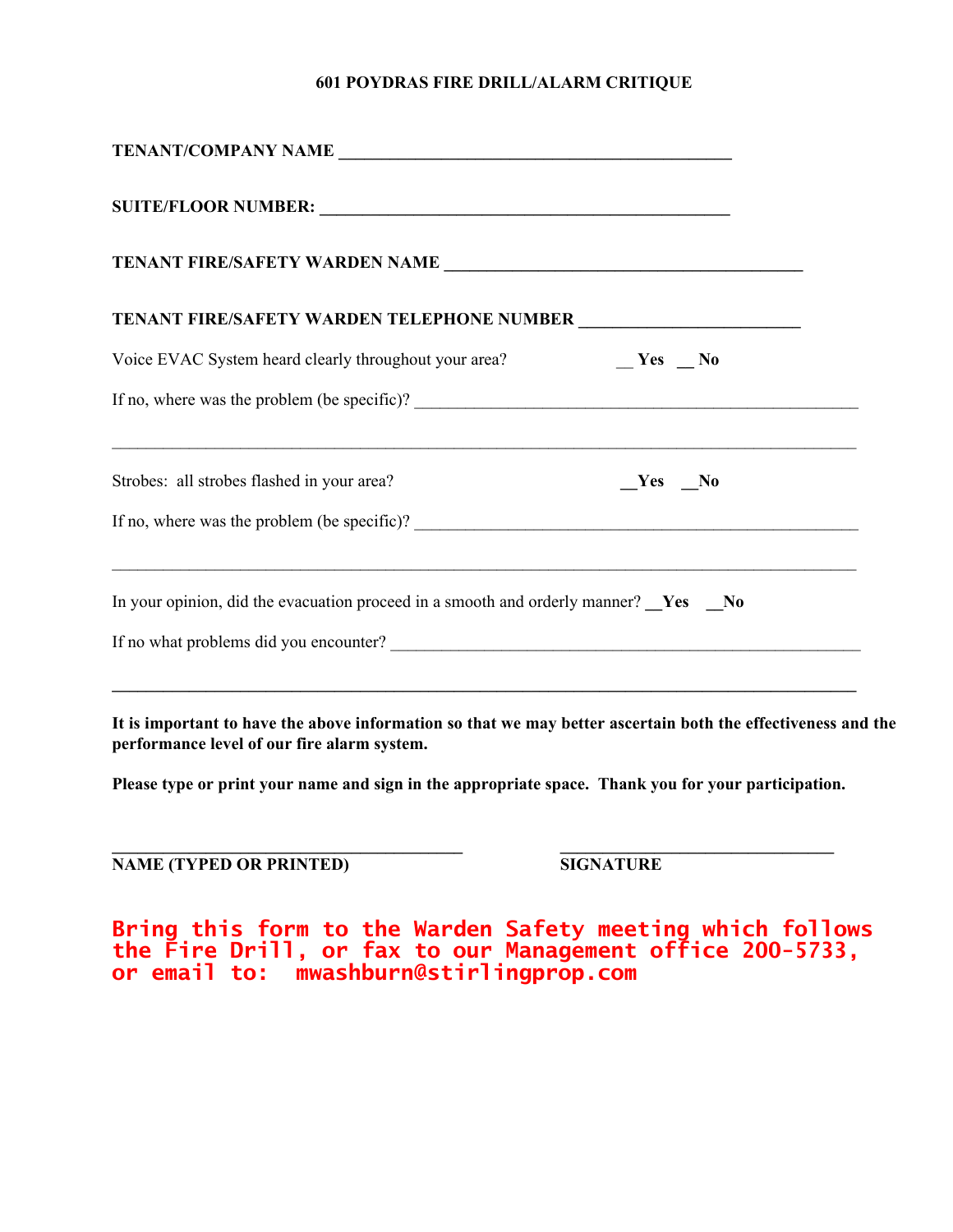#### **601 POYDRAS FIRE DRILL/ALARM CRITIQUE**

| TENANT/COMPANY NAME                                                                       |  |  |  |  |
|-------------------------------------------------------------------------------------------|--|--|--|--|
|                                                                                           |  |  |  |  |
|                                                                                           |  |  |  |  |
|                                                                                           |  |  |  |  |
| $Yes$ No<br>Voice EVAC System heard clearly throughout your area?                         |  |  |  |  |
|                                                                                           |  |  |  |  |
| Strobes: all strobes flashed in your area?<br>$Yes$ No                                    |  |  |  |  |
|                                                                                           |  |  |  |  |
| In your opinion, did the evacuation proceed in a smooth and orderly manner? <u>Ves</u> No |  |  |  |  |
|                                                                                           |  |  |  |  |
|                                                                                           |  |  |  |  |

**It is important to have the above information so that we may better ascertain both the effectiveness and the performance level of our fire alarm system.** 

**Please type or print your name and sign in the appropriate space. Thank you for your participation.** 

**\_\_\_\_\_\_\_\_\_\_\_\_\_\_\_\_\_\_\_\_\_\_\_\_\_\_\_\_\_\_\_\_\_\_\_\_\_\_\_\_\_ \_\_\_\_\_\_\_\_\_\_\_\_\_\_\_\_\_\_\_\_\_\_\_\_\_\_\_\_\_\_\_\_** 

**NAME (TYPED OR PRINTED)** SIGNATURE

**Bring this form to the Warden Safety meeting which follows the Fire Drill, or fax to our Management office 200-5733, or email to: mwashburn@stirlingprop.com**